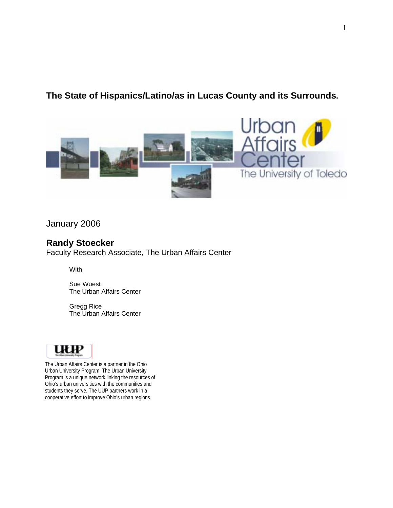# **The State of Hispanics/Latino/as in Lucas County and its Surrounds.**



January 2006

# **Randy Stoecker**

Faculty Research Associate, The Urban Affairs Center

**With** 

Sue Wuest The Urban Affairs Center

Gregg Rice The Urban Affairs Center



The Urban Affairs Center is a partner in the Ohio Urban University Program. The Urban University Program is a unique network linking the resources of Ohio's urban universities with the communities and students they serve. The UUP partners work in a cooperative effort to improve Ohio's urban regions.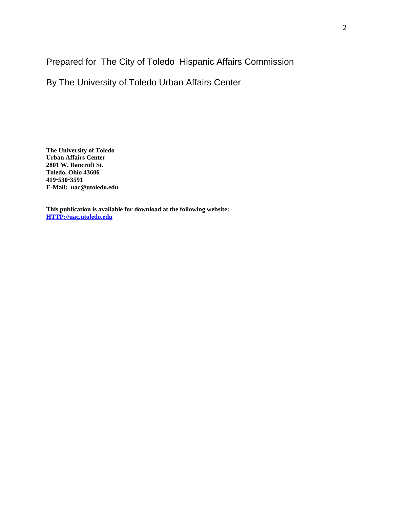Prepared for The City of Toledo Hispanic Affairs Commission

By The University of Toledo Urban Affairs Center

**The University of Toledo Urban Affairs Center 2801 W. Bancroft St. Toledo, Ohio 43606 419**!**530**!**3591 E-Mail: uac@utoledo.edu** 

**This publication is available for download at the following website: HTTP://uac.utoledo.edu**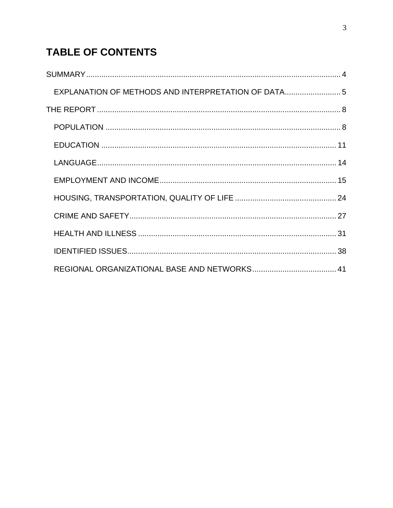# **TABLE OF CONTENTS**

| EXPLANATION OF METHODS AND INTERPRETATION OF DATA5 |  |
|----------------------------------------------------|--|
|                                                    |  |
|                                                    |  |
|                                                    |  |
|                                                    |  |
|                                                    |  |
|                                                    |  |
|                                                    |  |
|                                                    |  |
|                                                    |  |
|                                                    |  |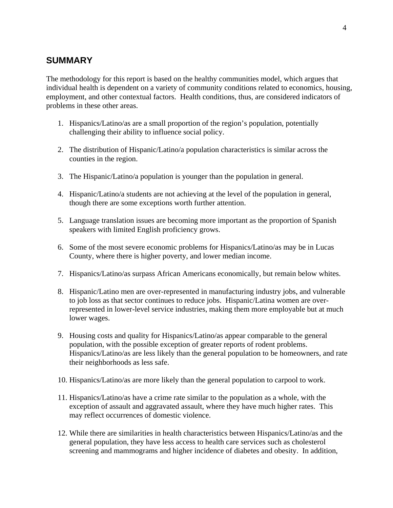## **SUMMARY**

The methodology for this report is based on the healthy communities model, which argues that individual health is dependent on a variety of community conditions related to economics, housing, employment, and other contextual factors. Health conditions, thus, are considered indicators of problems in these other areas.

- 1. Hispanics/Latino/as are a small proportion of the region's population, potentially challenging their ability to influence social policy.
- 2. The distribution of Hispanic/Latino/a population characteristics is similar across the counties in the region.
- 3. The Hispanic/Latino/a population is younger than the population in general.
- 4. Hispanic/Latino/a students are not achieving at the level of the population in general, though there are some exceptions worth further attention.
- 5. Language translation issues are becoming more important as the proportion of Spanish speakers with limited English proficiency grows.
- 6. Some of the most severe economic problems for Hispanics/Latino/as may be in Lucas County, where there is higher poverty, and lower median income.
- 7. Hispanics/Latino/as surpass African Americans economically, but remain below whites.
- 8. Hispanic/Latino men are over-represented in manufacturing industry jobs, and vulnerable to job loss as that sector continues to reduce jobs. Hispanic/Latina women are overrepresented in lower-level service industries, making them more employable but at much lower wages.
- 9. Housing costs and quality for Hispanics/Latino/as appear comparable to the general population, with the possible exception of greater reports of rodent problems. Hispanics/Latino/as are less likely than the general population to be homeowners, and rate their neighborhoods as less safe.
- 10. Hispanics/Latino/as are more likely than the general population to carpool to work.
- 11. Hispanics/Latino/as have a crime rate similar to the population as a whole, with the exception of assault and aggravated assault, where they have much higher rates. This may reflect occurrences of domestic violence.
- 12. While there are similarities in health characteristics between Hispanics/Latino/as and the general population, they have less access to health care services such as cholesterol screening and mammograms and higher incidence of diabetes and obesity. In addition,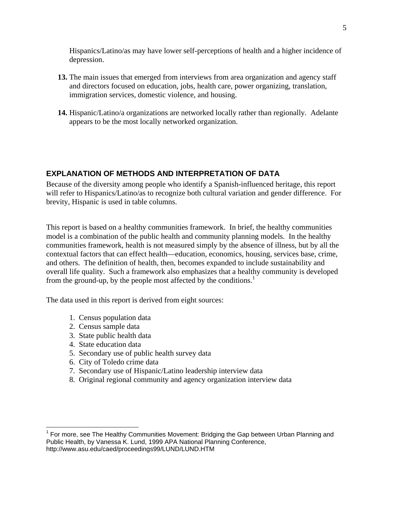Hispanics/Latino/as may have lower self-perceptions of health and a higher incidence of depression.

- **13.** The main issues that emerged from interviews from area organization and agency staff and directors focused on education, jobs, health care, power organizing, translation, immigration services, domestic violence, and housing.
- **14.** Hispanic/Latino/a organizations are networked locally rather than regionally. Adelante appears to be the most locally networked organization.

### **EXPLANATION OF METHODS AND INTERPRETATION OF DATA**

Because of the diversity among people who identify a Spanish-influenced heritage, this report will refer to Hispanics/Latino/as to recognize both cultural variation and gender difference. For brevity, Hispanic is used in table columns.

This report is based on a healthy communities framework. In brief, the healthy communities model is a combination of the public health and community planning models. In the healthy communities framework, health is not measured simply by the absence of illness, but by all the contextual factors that can effect health—education, economics, housing, services base, crime, and others. The definition of health, then, becomes expanded to include sustainability and overall life quality. Such a framework also emphasizes that a healthy community is developed from the ground-up, by the people most affected by the conditions.<sup>1</sup>

The data used in this report is derived from eight sources:

- 1. Census population data
- 2. Census sample data
- 3. State public health data
- 4. State education data

 $\overline{a}$ 

- 5. Secondary use of public health survey data
- 6. City of Toledo crime data
- 7. Secondary use of Hispanic/Latino leadership interview data
- 8. Original regional community and agency organization interview data

<sup>&</sup>lt;sup>1</sup> For more, see The Healthy Communities Movement: Bridging the Gap between Urban Planning and Public Health, by Vanessa K. Lund, 1999 APA National Planning Conference, http://www.asu.edu/caed/proceedings99/LUND/LUND.HTM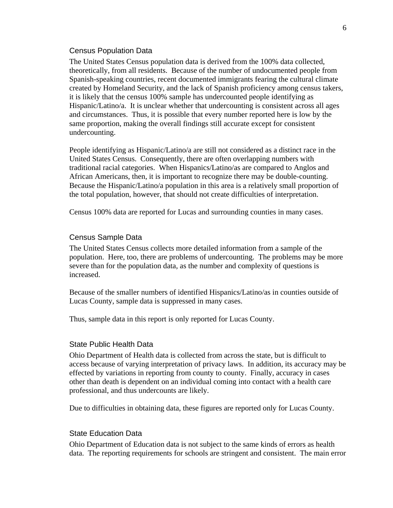#### Census Population Data

The United States Census population data is derived from the 100% data collected, theoretically, from all residents. Because of the number of undocumented people from Spanish-speaking countries, recent documented immigrants fearing the cultural climate created by Homeland Security, and the lack of Spanish proficiency among census takers, it is likely that the census 100% sample has undercounted people identifying as Hispanic/Latino/a. It is unclear whether that undercounting is consistent across all ages and circumstances. Thus, it is possible that every number reported here is low by the same proportion, making the overall findings still accurate except for consistent undercounting.

People identifying as Hispanic/Latino/a are still not considered as a distinct race in the United States Census. Consequently, there are often overlapping numbers with traditional racial categories. When Hispanics/Latino/as are compared to Anglos and African Americans, then, it is important to recognize there may be double-counting. Because the Hispanic/Latino/a population in this area is a relatively small proportion of the total population, however, that should not create difficulties of interpretation.

Census 100% data are reported for Lucas and surrounding counties in many cases.

#### Census Sample Data

The United States Census collects more detailed information from a sample of the population. Here, too, there are problems of undercounting. The problems may be more severe than for the population data, as the number and complexity of questions is increased.

Because of the smaller numbers of identified Hispanics/Latino/as in counties outside of Lucas County, sample data is suppressed in many cases.

Thus, sample data in this report is only reported for Lucas County.

#### State Public Health Data

Ohio Department of Health data is collected from across the state, but is difficult to access because of varying interpretation of privacy laws. In addition, its accuracy may be effected by variations in reporting from county to county. Finally, accuracy in cases other than death is dependent on an individual coming into contact with a health care professional, and thus undercounts are likely.

Due to difficulties in obtaining data, these figures are reported only for Lucas County.

#### State Education Data

Ohio Department of Education data is not subject to the same kinds of errors as health data. The reporting requirements for schools are stringent and consistent. The main error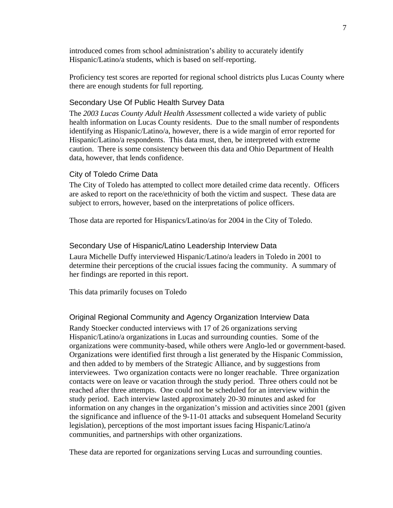introduced comes from school administration's ability to accurately identify Hispanic/Latino/a students, which is based on self-reporting.

Proficiency test scores are reported for regional school districts plus Lucas County where there are enough students for full reporting.

#### Secondary Use Of Public Health Survey Data

The *2003 Lucas County Adult Health Assessment* collected a wide variety of public health information on Lucas County residents. Due to the small number of respondents identifying as Hispanic/Latino/a, however, there is a wide margin of error reported for Hispanic/Latino/a respondents. This data must, then, be interpreted with extreme caution. There is some consistency between this data and Ohio Department of Health data, however, that lends confidence.

#### City of Toledo Crime Data

The City of Toledo has attempted to collect more detailed crime data recently. Officers are asked to report on the race/ethnicity of both the victim and suspect. These data are subject to errors, however, based on the interpretations of police officers.

Those data are reported for Hispanics/Latino/as for 2004 in the City of Toledo.

#### Secondary Use of Hispanic/Latino Leadership Interview Data

Laura Michelle Duffy interviewed Hispanic/Latino/a leaders in Toledo in 2001 to determine their perceptions of the crucial issues facing the community. A summary of her findings are reported in this report.

This data primarily focuses on Toledo

#### Original Regional Community and Agency Organization Interview Data

Randy Stoecker conducted interviews with 17 of 26 organizations serving Hispanic/Latino/a organizations in Lucas and surrounding counties. Some of the organizations were community-based, while others were Anglo-led or government-based. Organizations were identified first through a list generated by the Hispanic Commission, and then added to by members of the Strategic Alliance, and by suggestions from interviewees. Two organization contacts were no longer reachable. Three organization contacts were on leave or vacation through the study period. Three others could not be reached after three attempts. One could not be scheduled for an interview within the study period. Each interview lasted approximately 20-30 minutes and asked for information on any changes in the organization's mission and activities since 2001 (given the significance and influence of the 9-11-01 attacks and subsequent Homeland Security legislation), perceptions of the most important issues facing Hispanic/Latino/a communities, and partnerships with other organizations.

These data are reported for organizations serving Lucas and surrounding counties.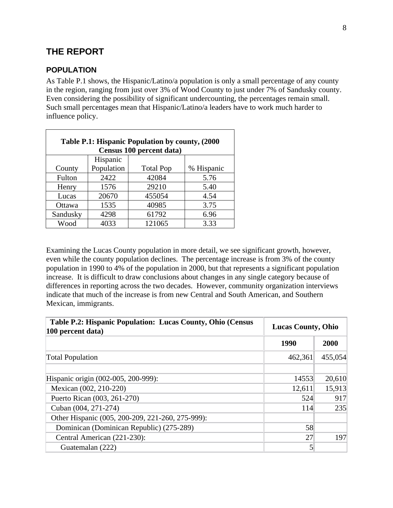# **THE REPORT**

### **POPULATION**

As Table P.1 shows, the Hispanic/Latino/a population is only a small percentage of any county in the region, ranging from just over 3% of Wood County to just under 7% of Sandusky county. Even considering the possibility of significant undercounting, the percentages remain small. Such small percentages mean that Hispanic/Latino/a leaders have to work much harder to influence policy.

| Table P.1: Hispanic Population by county, (2000)<br>Census 100 percent data) |            |                  |            |  |  |  |  |  |
|------------------------------------------------------------------------------|------------|------------------|------------|--|--|--|--|--|
| Hispanic                                                                     |            |                  |            |  |  |  |  |  |
| County                                                                       | Population | <b>Total Pop</b> | % Hispanic |  |  |  |  |  |
| Fulton                                                                       | 2422       | 42084            | 5.76       |  |  |  |  |  |
| Henry                                                                        | 1576       | 29210            | 5.40       |  |  |  |  |  |
| Lucas                                                                        | 20670      | 455054           | 4.54       |  |  |  |  |  |
| Ottawa                                                                       | 1535       | 40985            | 3.75       |  |  |  |  |  |
| Sandusky                                                                     | 4298       | 61792            | 6.96       |  |  |  |  |  |
| Wood                                                                         | 4033       | 121065           | 3.33       |  |  |  |  |  |

Examining the Lucas County population in more detail, we see significant growth, however, even while the county population declines. The percentage increase is from 3% of the county population in 1990 to 4% of the population in 2000, but that represents a significant population increase. It is difficult to draw conclusions about changes in any single category because of differences in reporting across the two decades. However, community organization interviews indicate that much of the increase is from new Central and South American, and Southern Mexican, immigrants.

| Table P.2: Hispanic Population: Lucas County, Ohio (Census<br>100 percent data) | <b>Lucas County, Ohio</b> |         |  |  |
|---------------------------------------------------------------------------------|---------------------------|---------|--|--|
|                                                                                 | 1990                      | 2000    |  |  |
| <b>Total Population</b>                                                         | 462,361                   | 455,054 |  |  |
| Hispanic origin (002-005, 200-999):                                             | 14553                     | 20,610  |  |  |
| Mexican (002, 210-220)                                                          | 12,611                    | 15,913  |  |  |
| Puerto Rican (003, 261-270)                                                     | 524                       | 917     |  |  |
| Cuban (004, 271-274)                                                            | 114                       | 235     |  |  |
| Other Hispanic (005, 200-209, 221-260, 275-999):                                |                           |         |  |  |
| Dominican (Dominican Republic) (275-289)                                        | 58                        |         |  |  |
| Central American (221-230):                                                     | 27                        | 197     |  |  |
| Guatemalan (222)                                                                | 5                         |         |  |  |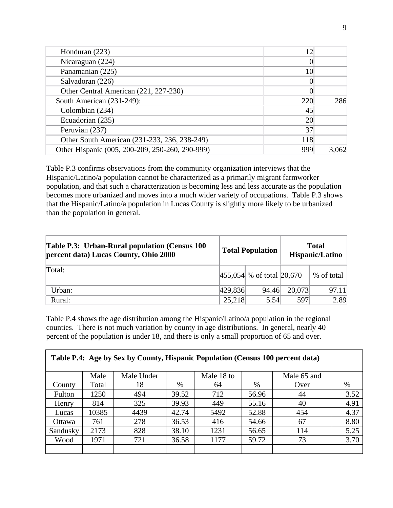| 12  |     |
|-----|-----|
|     |     |
| 10  |     |
|     |     |
|     |     |
| 220 | 286 |
| 45  |     |
| 20  |     |
| 37  |     |
| 118 |     |
| 999 |     |
|     |     |

Table P.3 confirms observations from the community organization interviews that the Hispanic/Latino/a population cannot be characterized as a primarily migrant farmworker population, and that such a characterization is becoming less and less accurate as the population becomes more urbanized and moves into a much wider variety of occupations. Table P.3 shows that the Hispanic/Latino/a population in Lucas County is slightly more likely to be urbanized than the population in general.

| <b>Table P.3: Urban-Rural population (Census 100)</b><br>percent data) Lucas County, Ohio 2000 |         | <b>Total Population</b>           | <b>Total</b><br>Hispanic/Latino |            |  |
|------------------------------------------------------------------------------------------------|---------|-----------------------------------|---------------------------------|------------|--|
| Total:                                                                                         |         | $ 455,054 $ % of total $ 20,670 $ |                                 | % of total |  |
| Urban:                                                                                         | 429,836 | 94.46                             | 20,073                          | 97.11      |  |
| Rural:                                                                                         | 25,218  | 5.54                              | 597                             | 2.89       |  |

Table P.4 shows the age distribution among the Hispanic/Latino/a population in the regional counties. There is not much variation by county in age distributions. In general, nearly 40 percent of the population is under 18, and there is only a small proportion of 65 and over.

| Table P.4: Age by Sex by County, Hispanic Population (Census 100 percent data) |       |            |       |            |       |             |      |  |  |
|--------------------------------------------------------------------------------|-------|------------|-------|------------|-------|-------------|------|--|--|
|                                                                                | Male  | Male Under |       | Male 18 to |       | Male 65 and |      |  |  |
| County                                                                         | Total | 18         | %     | 64         | $\%$  | Over        | %    |  |  |
| Fulton                                                                         | 1250  | 494        | 39.52 | 712        | 56.96 | 44          | 3.52 |  |  |
| Henry                                                                          | 814   | 325        | 39.93 | 449        | 55.16 | 40          | 4.91 |  |  |
| Lucas                                                                          | 10385 | 4439       | 42.74 | 5492       | 52.88 | 454         | 4.37 |  |  |
| <b>Ottawa</b>                                                                  | 761   | 278        | 36.53 | 416        | 54.66 | 67          | 8.80 |  |  |
| Sandusky                                                                       | 2173  | 828        | 38.10 | 1231       | 56.65 | 114         | 5.25 |  |  |
| Wood                                                                           | 1971  | 721        | 36.58 | 1177       | 59.72 | 73          | 3.70 |  |  |
|                                                                                |       |            |       |            |       |             |      |  |  |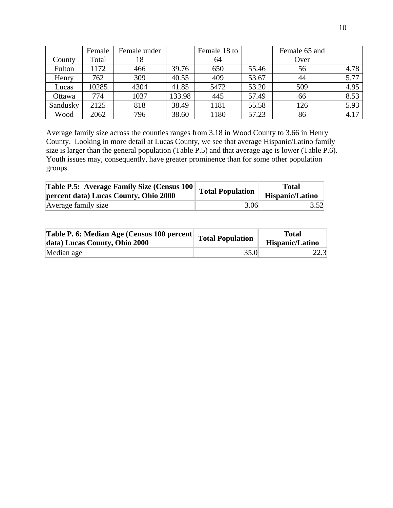|          | Female | Female under |        | Female 18 to |       | Female 65 and |      |
|----------|--------|--------------|--------|--------------|-------|---------------|------|
| County   | Total  | 18           |        | 64           |       | Over          |      |
| Fulton   | 1172   | 466          | 39.76  | 650          | 55.46 | 56            | 4.78 |
| Henry    | 762    | 309          | 40.55  | 409          | 53.67 | 44            | 5.77 |
| Lucas    | 10285  | 4304         | 41.85  | 5472         | 53.20 | 509           | 4.95 |
| Ottawa   | 774    | 1037         | 133.98 | 445          | 57.49 | 66            | 8.53 |
| Sandusky | 2125   | 818          | 38.49  | 1181         | 55.58 | 126           | 5.93 |
| Wood     | 2062   | 796          | 38.60  | 1180         | 57.23 | 86            | 4.17 |

Average family size across the counties ranges from 3.18 in Wood County to 3.66 in Henry County. Looking in more detail at Lucas County, we see that average Hispanic/Latino family size is larger than the general population (Table P.5) and that average age is lower (Table P.6). Youth issues may, consequently, have greater prominence than for some other population groups.

| <b>Table P.5: Average Family Size (Census 100)</b><br>percent data) Lucas County, Ohio 2000 | Total Population | Total<br>Hispanic/Latino |  |  |
|---------------------------------------------------------------------------------------------|------------------|--------------------------|--|--|
| Average family size                                                                         | 3.06             | 3.52                     |  |  |

| <b>Table P. 6: Median Age (Census 100 percent Total Population 1)</b><br>data) Lucas County, Ohio 2000 |      | <b>Total</b><br>Hispanic/Latino |
|--------------------------------------------------------------------------------------------------------|------|---------------------------------|
| Median age                                                                                             | 35.0 | 22.3                            |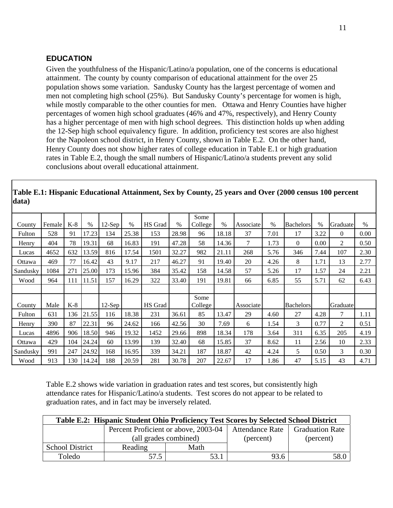### **EDUCATION**

Given the youthfulness of the Hispanic/Latino/a population, one of the concerns is educational attainment. The county by county comparison of educational attainment for the over 25 population shows some variation. Sandusky County has the largest percentage of women and men not completing high school (25%). But Sandusky County's percentage for women is high, while mostly comparable to the other counties for men. Ottawa and Henry Counties have higher percentages of women high school graduates (46% and 47%, respectively), and Henry County has a higher percentage of men with high school degrees. This distinction holds up when adding the 12-Sep high school equivalency figure. In addition, proficiency test scores are also highest for the Napoleon school district, in Henry County, shown in Table E.2. On the other hand, Henry County does not show higher rates of college education in Table E.1 or high graduation rates in Table E.2, though the small numbers of Hispanic/Latino/a students prevent any solid conclusions about overall educational attainment.

| County   | Female | $K-8$ | $\frac{0}{0}$ | $12$ -Sep | $\frac{0}{0}$ | HS Grad | $\%$  | Some<br>College | $\%$  | Associate | $\frac{0}{0}$ | <b>Bachelors</b> | $\frac{0}{0}$ | Graduate       | $\frac{0}{0}$ |
|----------|--------|-------|---------------|-----------|---------------|---------|-------|-----------------|-------|-----------|---------------|------------------|---------------|----------------|---------------|
| Fulton   | 528    | 91    | 17.23         | 134       | 25.38         | 153     | 28.98 | 96              | 18.18 | 37        | 7.01          | 17               | 3.22          | $\overline{0}$ | 0.00          |
| Henry    | 404    | 78    | 19.31         | 68        | 16.83         | 191     | 47.28 | 58              | 14.36 | 7         | 1.73          | $\theta$         | 0.00          | $\overline{2}$ | 0.50          |
| Lucas    | 4652   | 632   | 13.59         | 816       | 17.54         | 1501    | 32.27 | 982             | 21.11 | 268       | 5.76          | 346              | 7.44          | 107            | 2.30          |
| Ottawa   | 469    | 77    | 16.42         | 43        | 9.17          | 217     | 46.27 | 91              | 19.40 | 20        | 4.26          | 8                | 1.71          | 13             | 2.77          |
| Sandusky | 1084   | 271   | 25.00         | 173       | 15.96         | 384     | 35.42 | 158             | 14.58 | 57        | 5.26          | 17               | 1.57          | 24             | 2.21          |
| Wood     | 964    | 111   | 11.51         | 157       | 16.29         | 322     | 33.40 | 191             | 19.81 | 66        | 6.85          | 55               | 5.71          | 62             | 6.43          |
|          |        |       |               |           |               |         |       |                 |       |           |               |                  |               |                |               |
| County   | Male   | K-8   |               | $12$ -Sep |               | HS Grad |       | Some<br>College |       | Associate |               | <b>Bachelors</b> |               | Graduate       |               |
| Fulton   | 631    | 136   | 21.55         | 116       | 18.38         | 231     | 36.61 | 85              | 13.47 | 29        | 4.60          | 27               | 4.28          | 7              | 1.11          |
| Henry    | 390    | 87    | 22.31         | 96        | 24.62         | 166     | 42.56 | 30              | 7.69  | 6         | 1.54          | 3                | 0.77          | 2              | 0.51          |
| Lucas    | 4896   | 906   | 18.50         | 946       | 19.32         | 1452    | 29.66 | 898             | 18.34 | 178       | 3.64          | 311              | 6.35          | 205            | 4.19          |
| Ottawa   | 429    | 104   | 24.24         | 60        | 13.99         | 139     | 32.40 | 68              | 15.85 | 37        | 8.62          | 11               | 2.56          | 10             | 2.33          |
| Sandusky | 991    | 247   | 24.92         | 168       | 16.95         | 339     | 34.21 | 187             | 18.87 | 42        | 4.24          | 5                | 0.50          | 3              | 0.30          |
|          |        |       |               |           |               |         |       |                 |       |           |               |                  |               |                |               |

**Table E.1: Hispanic Educational Attainment, Sex by County, 25 years and Over (2000 census 100 percent data)** 

Table E.2 shows wide variation in graduation rates and test scores, but consistently high attendance rates for Hispanic/Latino/a students. Test scores do not appear to be related to graduation rates, and in fact may be inversely related.

| Table E.2: Hispanic Student Ohio Proficiency Test Scores by Selected School District |                                      |                       |                        |                        |  |  |  |  |  |
|--------------------------------------------------------------------------------------|--------------------------------------|-----------------------|------------------------|------------------------|--|--|--|--|--|
|                                                                                      | Percent Proficient or above, 2003-04 |                       | <b>Attendance Rate</b> | <b>Graduation Rate</b> |  |  |  |  |  |
|                                                                                      |                                      | (all grades combined) | (percent)              | (percent)              |  |  |  |  |  |
| <b>School District</b>                                                               | Reading                              | Math                  |                        |                        |  |  |  |  |  |
| Toledo                                                                               | 57.5                                 | 53.1                  | 93.6                   | 58.0                   |  |  |  |  |  |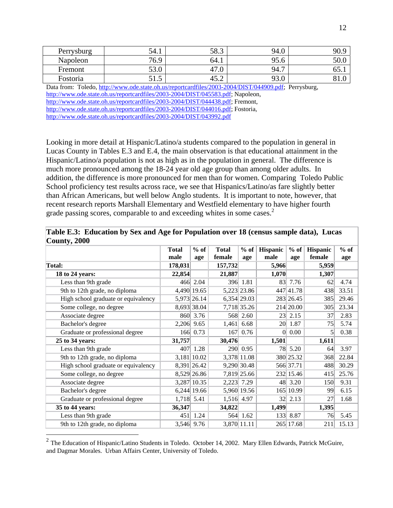| Perrysburg | 54.1 | 58.3 | 94.U       | 90.9        |
|------------|------|------|------------|-------------|
| Napoleon   | 76.9 | 64.1 | 95<br>YJ.O | <b>JU.U</b> |
| Fremont    | 53.0 | 47.6 | 94.7       | 0J.I        |
| Fostoria   | 91.9 | 45.2 | 02<br>99.U | 01.U        |

Data from: Toledo, http://www.ode.state.oh.us/reportcardfiles/2003-2004/DIST/044909.pdf; Perrysburg, http://www.ode.state.oh.us/reportcardfiles/2003-2004/DIST/045583.pdf; Napoleon, http://www.ode.state.oh.us/reportcardfiles/2003-2004/DIST/044438.pdf; Fremont, http://www.ode.state.oh.us/reportcardfiles/2003-2004/DIST/044016.pdf; Fostoria, http://www.ode.state.oh.us/reportcardfiles/2003-2004/DIST/043992.pdf

Looking in more detail at Hispanic/Latino/a students compared to the population in general in Lucas County in Tables E.3 and E.4, the main observation is that educational attainment in the Hispanic/Latino/a population is not as high as in the population in general. The difference is much more pronounced among the 18-24 year old age group than among older adults. In addition, the difference is more pronounced for men than for women. Comparing Toledo Public School proficiency test results across race, we see that Hispanics/Latino/as fare slightly better than African Americans, but well below Anglo students. It is important to note, however, that recent research reports Marshall Elementary and Westfield elementary to have higher fourth grade passing scores, comparable to and exceeding whites in some cases.<sup>2</sup>

| ັ້                                  |              |                 |              |                 |                 |           |          |        |
|-------------------------------------|--------------|-----------------|--------------|-----------------|-----------------|-----------|----------|--------|
|                                     | <b>Total</b> | $%$ of          | <b>Total</b> | $%$ of          | Hispanic        | $%$ of    | Hispanic | $%$ of |
|                                     | male         | age             | female       | age             | male            | age       | female   | age    |
| Total:                              | 178,031      |                 | 157,732      |                 | 5,966           |           | 5,959    |        |
| 18 to 24 years:                     | 22,854       |                 | 21,887       |                 | 1,070           |           | 1,307    |        |
| Less than 9th grade                 | 466          | 2.04            | 396          | 1.81            | 83              | 7.76      | 62       | 4.74   |
| 9th to 12th grade, no diploma       |              | 4,490 19.65     |              | 5,223 23.86     | 447             | 41.78     | 438      | 33.51  |
| High school graduate or equivalency |              | 5,973 26.14     |              | $6,354$   29.03 |                 | 283 26.45 | 385      | 29.46  |
| Some college, no degree             |              | 8,693 38.04     |              | 7,718 35.26     |                 | 214 20.00 | 305      | 23.34  |
| Associate degree                    |              | 860 3.76        |              | 568 2.60        | 23 <sup>1</sup> | 2.15      | 37       | 2.83   |
| Bachelor's degree                   | 2,206        | 9.65            | 1,461        | 6.68            | 20              | 1.87      | 75       | 5.74   |
| Graduate or professional degree     | 166          | 0.73            | 167          | 0.76            | $\Omega$        | 0.00      | 5        | 0.38   |
| 25 to 34 years:                     | 31,757       |                 | 30,476       |                 | 1,501           |           | 1,611    |        |
| Less than 9th grade                 | 407          | 1.28            |              | 290 0.95        | 78              | 5.20      | 64       | 3.97   |
| 9th to 12th grade, no diploma       |              | $3,181$   10.02 |              | 3,378 11.08     |                 | 380 25.32 | 368      | 22.84  |
| High school graduate or equivalency |              | 8,391 26.42     |              | 9,290 30.48     |                 | 566 37.71 | 488      | 30.29  |
| Some college, no degree             |              | 8,529 26.86     |              | 7,819 25.66     |                 | 232 15.46 | 415      | 25.76  |
| Associate degree                    | 3,287        | 10.35           | 2,223 7.29   |                 | 48              | 3.20      | 150      | 9.31   |
| Bachelor's degree                   |              | 6,244 19.66     |              | 5,960 19.56     | 165             | 10.99     | 99       | 6.15   |
| Graduate or professional degree     | 1,718        | 5.41            | 1,516 4.97   |                 | 32              | 2.13      | 27       | 1.68   |
| 35 to 44 years:                     | 36,347       |                 | 34,822       |                 | 1,499           |           | 1,395    |        |
| Less than 9th grade                 | 451          | 1.24            |              | 564 1.62        | 133             | 8.87      | 76       | 5.45   |
| 9th to 12th grade, no diploma       |              | 3,546 9.76      |              | 3,870 11.11     | 265             | 17.68     | 211      | 15.13  |

**Table E.3: Education by Sex and Age for Population over 18 (census sample data), Lucas County, 2000** 

 $\overline{a}$ 

 $^2$  The Education of Hispanic/Latino Students in Toledo. October 14, 2002. Mary Ellen Edwards, Patrick McGuire, and Dagmar Morales. Urban Affairs Center, University of Toledo.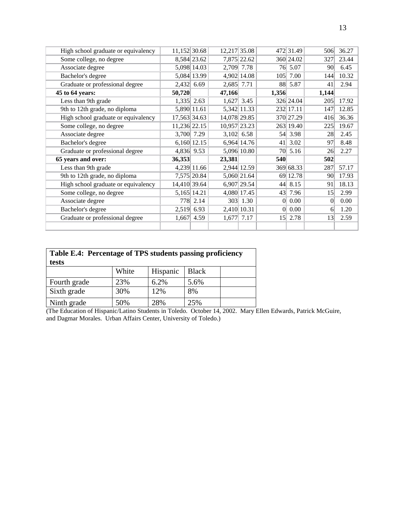| High school graduate or equivalency | 11,152 30.68 |                 | 12,217 35.08 |             |                 | 472 31.49 | 506             | 36.27 |
|-------------------------------------|--------------|-----------------|--------------|-------------|-----------------|-----------|-----------------|-------|
| Some college, no degree             |              | 8,584 23.62     |              | 7,875 22.62 |                 | 360 24.02 | 327             | 23.44 |
| Associate degree                    |              | 5,098 14.03     | 2,709        | 7.78        | 76              | 5.07      | 90              | 6.45  |
| Bachelor's degree                   |              | 5,084 13.99     |              | 4,902 14.08 | 105             | 7.00      | 144             | 10.32 |
| Graduate or professional degree     | 2,432        | 6.69            | 2,685        | 7.71        |                 | 88 5.87   | 41              | 2.94  |
| 45 to 64 years:                     | 50,720       |                 | 47,166       |             | 1,356           |           | 1,144           |       |
| Less than 9th grade                 | 1,335        | 2.63            | 1,627        | 3.45        |                 | 326 24.04 | 205             | 17.92 |
| 9th to 12th grade, no diploma       |              | 5,890 11.61     |              | 5,342 11.33 |                 | 232 17.11 | 147             | 12.85 |
| High school graduate or equivalency | 17,563 34.63 |                 | 14,078 29.85 |             |                 | 370 27.29 | 416             | 36.36 |
| Some college, no degree             | 11,236 22.15 |                 | 10,957 23.23 |             |                 | 263 19.40 | 225             | 19.67 |
| Associate degree                    | 3,700        | 7.29            | 3,102        | 6.58        | 54              | 3.98      | 28              | 2.45  |
| Bachelor's degree                   |              | $6,160$   12.15 |              | 6,964 14.76 | 41              | 3.02      | 97              | 8.48  |
| Graduate or professional degree     | 4,836        | 9.53            |              | 5,096 10.80 | 70              | 5.16      | 26              | 2.27  |
| 65 years and over:                  | 36,353       |                 | 23,381       |             | 540             |           | 502             |       |
| Less than 9th grade                 |              | 4,239 11.66     |              | 2,944 12.59 |                 | 369 68.33 | 287             | 57.17 |
| 9th to 12th grade, no diploma       |              | 7,575 20.84     |              | 5,060 21.64 | 69              | 12.78     | 90 <sup>°</sup> | 17.93 |
| High school graduate or equivalency | 14,410 39.64 |                 |              | 6,907 29.54 | 44              | 8.15      | 91              | 18.13 |
| Some college, no degree             |              | 5,165 14.21     |              | 4,080 17.45 | 43              | 7.96      | 15              | 2.99  |
| Associate degree                    | 778          | 2.14            |              | 303 1.30    | $\overline{0}$  | 0.00      | $\vert 0 \vert$ | 0.00  |
| Bachelor's degree                   | 2,519        | 6.93            |              | 2,410 10.31 | $\Omega$        | 0.00      | 6               | 1.20  |
| Graduate or professional degree     | 1,667        | 4.59            | 1,677        | 7.17        | 15 <sup>2</sup> | 2.78      | 13              | 2.59  |
|                                     |              |                 |              |             |                 |           |                 |       |

| Table E.4: Percentage of TPS students passing proficiency<br>tests |       |          |              |  |  |  |  |
|--------------------------------------------------------------------|-------|----------|--------------|--|--|--|--|
|                                                                    | White | Hispanic | <b>Black</b> |  |  |  |  |
| Fourth grade                                                       | 23%   | 6.2%     | 5.6%         |  |  |  |  |
| Sixth grade                                                        | 30%   | 12%      | 8%           |  |  |  |  |
| Ninth grade                                                        | 50%   | 28%      | 25%          |  |  |  |  |

(The Education of Hispanic/Latino Students in Toledo. October 14, 2002. Mary Ellen Edwards, Patrick McGuire, and Dagmar Morales. Urban Affairs Center, University of Toledo.)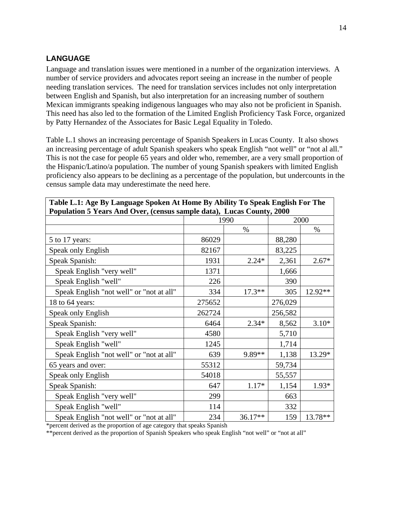### **LANGUAGE**

Language and translation issues were mentioned in a number of the organization interviews. A number of service providers and advocates report seeing an increase in the number of people needing translation services. The need for translation services includes not only interpretation between English and Spanish, but also interpretation for an increasing number of southern Mexican immigrants speaking indigenous languages who may also not be proficient in Spanish. This need has also led to the formation of the Limited English Proficiency Task Force, organized by Patty Hernandez of the Associates for Basic Legal Equality in Toledo.

Table L.1 shows an increasing percentage of Spanish Speakers in Lucas County. It also shows an increasing percentage of adult Spanish speakers who speak English "not well" or "not al all." This is not the case for people 65 years and older who, remember, are a very small proportion of the Hispanic/Latino/a population. The number of young Spanish speakers with limited English proficiency also appears to be declining as a percentage of the population, but undercounts in the census sample data may underestimate the need here.

| Population 5 Years And Over, (census sample data), Lucas County, 2000 |        |          |         |         |  |  |
|-----------------------------------------------------------------------|--------|----------|---------|---------|--|--|
|                                                                       |        | 1990     |         | 2000    |  |  |
|                                                                       |        | $\%$     |         | $\%$    |  |  |
| 5 to 17 years:                                                        | 86029  |          | 88,280  |         |  |  |
| Speak only English                                                    | 82167  |          | 83,225  |         |  |  |
| Speak Spanish:                                                        | 1931   | $2.24*$  | 2,361   | $2.67*$ |  |  |
| Speak English "very well"                                             | 1371   |          | 1,666   |         |  |  |
| Speak English "well"                                                  | 226    |          | 390     |         |  |  |
| Speak English "not well" or "not at all"                              | 334    | $17.3**$ | 305     | 12.92** |  |  |
| 18 to 64 years:                                                       | 275652 |          | 276,029 |         |  |  |
| Speak only English                                                    | 262724 |          | 256,582 |         |  |  |
| Speak Spanish:                                                        | 6464   | $2.34*$  | 8,562   | $3.10*$ |  |  |
| Speak English "very well"                                             | 4580   |          | 5,710   |         |  |  |
| Speak English "well"                                                  | 1245   |          | 1,714   |         |  |  |
| Speak English "not well" or "not at all"                              | 639    | 9.89**   | 1,138   | 13.29*  |  |  |
| 65 years and over:                                                    | 55312  |          | 59,734  |         |  |  |
| Speak only English                                                    | 54018  |          | 55,557  |         |  |  |
| Speak Spanish:                                                        | 647    | $1.17*$  | 1,154   | 1.93*   |  |  |
| Speak English "very well"                                             | 299    |          | 663     |         |  |  |
| Speak English "well"                                                  | 114    |          | 332     |         |  |  |
| Speak English "not well" or "not at all"                              | 234    | 36.17**  | 159     | 13.78** |  |  |

**Table L.1: Age By Language Spoken At Home By Ability To Speak English For The Population 5 Years And Over, (census sample data), Lucas County, 2000** 

\*percent derived as the proportion of age category that speaks Spanish

\*\*percent derived as the proportion of Spanish Speakers who speak English "not well" or "not at all"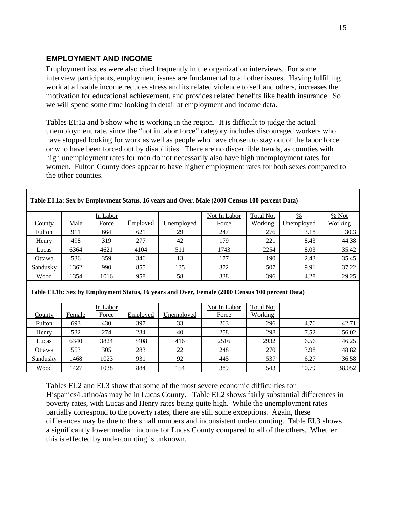### **EMPLOYMENT AND INCOME**

Employment issues were also cited frequently in the organization interviews. For some interview participants, employment issues are fundamental to all other issues. Having fulfilling work at a livable income reduces stress and its related violence to self and others, increases the motivation for educational achievement, and provides related benefits like health insurance. So we will spend some time looking in detail at employment and income data.

Tables EI:1a and b show who is working in the region. It is difficult to judge the actual unemployment rate, since the "not in labor force" category includes discouraged workers who have stopped looking for work as well as people who have chosen to stay out of the labor force or who have been forced out by disabilities. There are no discernible trends, as counties with high unemployment rates for men do not necessarily also have high unemployment rates for women. Fulton County does appear to have higher employment rates for both sexes compared to the other counties.

|          |      | In Labor |          |            | Not In Labor | <b>Total Not</b> | $\frac{0}{0}$ | % Not   |
|----------|------|----------|----------|------------|--------------|------------------|---------------|---------|
| County   | Male | Force    | Employed | Jnemploved | Force        | Working          | Unemployed    | Working |
| Fulton   | 911  | 664      | 621      | 29         | 247          | 276              | 3.18          | 30.3    |
| Henry    | 498  | 319      | 277      | 42         | 179          | 221              | 8.43          | 44.38   |
| Lucas    | 6364 | 4621     | 4104     | 511        | 1743         | 2254             | 8.03          | 35.42   |
| Ottawa   | 536  | 359      | 346      | 13         | 177          | 190              | 2.43          | 35.45   |
| Sandusky | 1362 | 990      | 855      | 135        | 372          | 507              | 9.91          | 37.22   |
| Wood     | 1354 | 1016     | 958      | 58         | 338          | 396              | 4.28          | 29.25   |
|          |      |          |          |            |              |                  |               |         |

#### **Table EI.1a: Sex by Employment Status, 16 years and Over, Male (2000 Census 100 percent Data)**

**Table EI.1b: Sex by Employment Status, 16 years and Over, Female (2000 Census 100 percent Data)** 

|               |        | In Labor |          |            | Not In Labor | <b>Total Not</b> |       |        |
|---------------|--------|----------|----------|------------|--------------|------------------|-------|--------|
| <b>County</b> | Female | Force    | Employed | Unemployed | Force        | Working          |       |        |
| Fulton        | 693    | 430      | 397      | 33         | 263          | 296              | 4.76  | 42.71  |
| Henry         | 532    | 274      | 234      | 40         | 258          | 298              | 7.52  | 56.02  |
| Lucas         | 6340   | 3824     | 3408     | 416        | 2516         | 2932             | 6.56  | 46.25  |
| Ottawa        | 553    | 305      | 283      | 22         | 248          | 270              | 3.98  | 48.82  |
| Sandusky      | 1468   | 1023     | 931      | 92         | 445          | 537              | 6.27  | 36.58  |
| Wood          | 1427   | 1038     | 884      | 154        | 389          | 543              | 10.79 | 38.052 |

Tables EI.2 and EI.3 show that some of the most severe economic difficulties for Hispanics/Latino/as may be in Lucas County. Table EI.2 shows fairly substantial differences in poverty rates, with Lucas and Henry rates being quite high. While the unemployment rates partially correspond to the poverty rates, there are still some exceptions. Again, these differences may be due to the small numbers and inconsistent undercounting. Table EI.3 shows a significantly lower median income for Lucas County compared to all of the others. Whether this is effected by undercounting is unknown.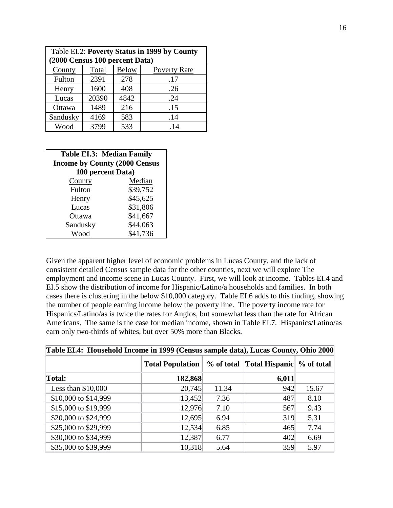| Table EI.2: Poverty Status in 1999 by County |       |              |                     |  |  |  |  |  |
|----------------------------------------------|-------|--------------|---------------------|--|--|--|--|--|
| (2000 Census 100 percent Data)               |       |              |                     |  |  |  |  |  |
| County                                       | Total | <b>Below</b> | <b>Poverty Rate</b> |  |  |  |  |  |
| Fulton                                       | 2391  | 278          | .17                 |  |  |  |  |  |
| Henry                                        | 1600  | 408          | .26                 |  |  |  |  |  |
| Lucas                                        | 20390 | 4842         | .24                 |  |  |  |  |  |
| Ottawa                                       | 1489  | 216          | .15                 |  |  |  |  |  |
| Sandusky                                     | 4169  | 583          | .14                 |  |  |  |  |  |
| Wood                                         | 3799  | 533          | .14                 |  |  |  |  |  |

| Table EI.3: Median Family            |          |  |  |  |  |  |  |
|--------------------------------------|----------|--|--|--|--|--|--|
| <b>Income by County (2000 Census</b> |          |  |  |  |  |  |  |
| 100 percent Data)                    |          |  |  |  |  |  |  |
| County                               | Median   |  |  |  |  |  |  |
| Fulton                               | \$39,752 |  |  |  |  |  |  |
| Henry                                | \$45,625 |  |  |  |  |  |  |
| Lucas                                | \$31,806 |  |  |  |  |  |  |
| Ottawa                               | \$41,667 |  |  |  |  |  |  |
| Sandusky                             | \$44,063 |  |  |  |  |  |  |
| Wood                                 | \$41,736 |  |  |  |  |  |  |

Given the apparent higher level of economic problems in Lucas County, and the lack of consistent detailed Census sample data for the other counties, next we will explore The employment and income scene in Lucas County. First, we will look at income. Tables EI.4 and EI.5 show the distribution of income for Hispanic/Latino/a households and families. In both cases there is clustering in the below \$10,000 category. Table EI.6 adds to this finding, showing the number of people earning income below the poverty line. The poverty income rate for Hispanics/Latino/as is twice the rates for Anglos, but somewhat less than the rate for African Americans. The same is the case for median income, shown in Table EI.7. Hispanics/Latino/as earn only two-thirds of whites, but over 50% more than Blacks.

| Table EI.4: Household Income in 1999 (Census sample data), Lucas County, Ohio 2000 |                         |       |                                          |       |  |  |  |  |
|------------------------------------------------------------------------------------|-------------------------|-------|------------------------------------------|-------|--|--|--|--|
|                                                                                    | <b>Total Population</b> |       | % of total Total Hispanic \% of total \, |       |  |  |  |  |
| Total:                                                                             | 182,868                 |       | 6,011                                    |       |  |  |  |  |
| Less than $$10,000$                                                                | 20,745                  | 11.34 | 942                                      | 15.67 |  |  |  |  |
| \$10,000 to \$14,999                                                               | 13,452                  | 7.36  | 487                                      | 8.10  |  |  |  |  |
| \$15,000 to \$19,999                                                               | 12,976                  | 7.10  | 567                                      | 9.43  |  |  |  |  |
| \$20,000 to \$24,999                                                               | 12,695                  | 6.94  | 319                                      | 5.31  |  |  |  |  |
| \$25,000 to \$29,999                                                               | 12,534                  | 6.85  | 465                                      | 7.74  |  |  |  |  |
| \$30,000 to \$34,999                                                               | 12,387                  | 6.77  | 402                                      | 6.69  |  |  |  |  |
| \$35,000 to \$39,999                                                               | 10,318                  | 5.64  | 359                                      | 5.97  |  |  |  |  |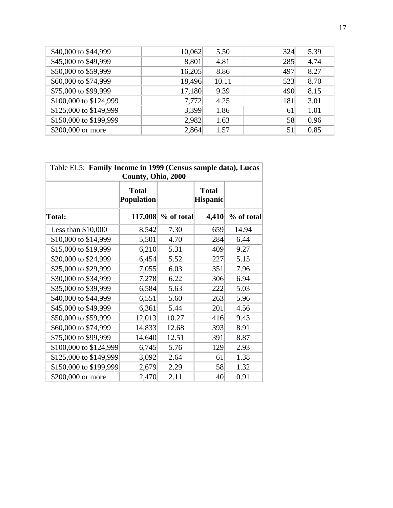| \$40,000 to \$44,999   | 10,062 | 5.50  | 324 | 5.39 |
|------------------------|--------|-------|-----|------|
| \$45,000 to \$49,999   | 8,801  | 4.81  | 285 | 4.74 |
| \$50,000 to \$59,999   | 16,205 | 8.86  | 497 | 8.27 |
| \$60,000 to \$74,999   | 18,496 | 10.11 | 523 | 8.70 |
| \$75,000 to \$99,999   | 17,180 | 9.39  | 490 | 8.15 |
| \$100,000 to \$124,999 | 7,772  | 4.25  | 181 | 3.01 |
| \$125,000 to \$149,999 | 3,399  | 1.86  | 61  | 1.01 |
| \$150,000 to \$199,999 | 2,982  | 1.63  | 58  | 0.96 |
| \$200,000 or more      | 2,864  | 1.57  | 51  | 0.85 |
|                        |        |       |     |      |

| Table EI.5: Family Income in 1999 (Census sample data), Lucas<br>County, Ohio, 2000 |                                   |            |                                 |            |  |  |  |
|-------------------------------------------------------------------------------------|-----------------------------------|------------|---------------------------------|------------|--|--|--|
|                                                                                     | <b>Total</b><br><b>Population</b> |            | <b>Total</b><br><b>Hispanic</b> |            |  |  |  |
| Total:                                                                              | 117,008                           | % of total | 4,410                           | % of total |  |  |  |
| Less than $$10,000$                                                                 | 8,542                             | 7.30       | 659                             | 14.94      |  |  |  |
| \$10,000 to \$14,999                                                                | 5,501                             | 4.70       | 284                             | 6.44       |  |  |  |
| \$15,000 to \$19,999                                                                | 6,210                             | 5.31       | 409                             | 9.27       |  |  |  |
| \$20,000 to \$24,999                                                                | 6,454                             | 5.52       | 227                             | 5.15       |  |  |  |
| \$25,000 to \$29,999                                                                | 7,055                             | 6.03       | 351                             | 7.96       |  |  |  |
| \$30,000 to \$34,999                                                                | 7,278                             | 6.22       | 306                             | 6.94       |  |  |  |
| \$35,000 to \$39,999                                                                | 6,584                             | 5.63       | 222                             | 5.03       |  |  |  |
| \$40,000 to \$44,999                                                                | 6,551                             | 5.60       | 263                             | 5.96       |  |  |  |
| \$45,000 to \$49,999                                                                | 6,361                             | 5.44       | 201                             | 4.56       |  |  |  |
| \$50,000 to \$59,999                                                                | 12,013                            | 10.27      | 416                             | 9.43       |  |  |  |
| \$60,000 to \$74,999                                                                | 14,833                            | 12.68      | 393                             | 8.91       |  |  |  |
| \$75,000 to \$99,999                                                                | 14,640                            | 12.51      | 391                             | 8.87       |  |  |  |
| \$100,000 to \$124,999                                                              | 6,745                             | 5.76       | 129                             | 2.93       |  |  |  |
| \$125,000 to \$149,999                                                              | 3,092                             | 2.64       | 61                              | 1.38       |  |  |  |
| \$150,000 to \$199,999                                                              | 2,679                             | 2.29       | 58                              | 1.32       |  |  |  |
| \$200,000 or more                                                                   | 2,470                             | 2.11       | 40                              | 0.91       |  |  |  |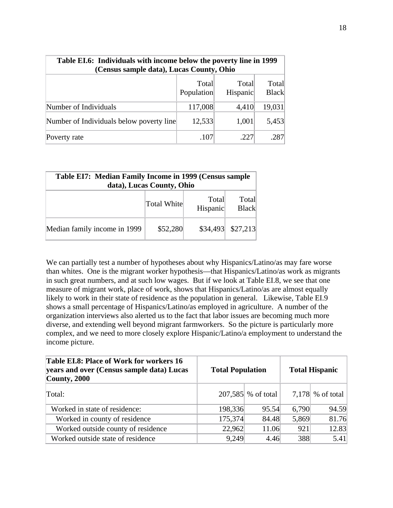| Table EI.6: Individuals with income below the poverty line in 1999<br>(Census sample data), Lucas County, Ohio |                     |                   |                       |  |  |  |  |
|----------------------------------------------------------------------------------------------------------------|---------------------|-------------------|-----------------------|--|--|--|--|
|                                                                                                                | Total<br>Population | Total<br>Hispanic | Total<br><b>Black</b> |  |  |  |  |
| Number of Individuals                                                                                          | 117,008             | 4,410             | 19,031                |  |  |  |  |
| Number of Individuals below poverty line                                                                       | 12,533              | 1,001             | 5,453                 |  |  |  |  |
| Poverty rate                                                                                                   | .107                | .227              | .287                  |  |  |  |  |

| Table EI7: Median Family Income in 1999 (Census sample<br>data), Lucas County, Ohio |             |                   |                       |
|-------------------------------------------------------------------------------------|-------------|-------------------|-----------------------|
|                                                                                     | Total White | Total<br>Hispanic | Total<br><b>Black</b> |
| Median family income in 1999                                                        | \$52,280    |                   | $$34,493$ $$27,213$   |

We can partially test a number of hypotheses about why Hispanics/Latino/as may fare worse than whites. One is the migrant worker hypothesis—that Hispanics/Latino/as work as migrants in such great numbers, and at such low wages. But if we look at Table EI.8, we see that one measure of migrant work, place of work, shows that Hispanics/Latino/as are almost equally likely to work in their state of residence as the population in general. Likewise, Table EI.9 shows a small percentage of Hispanics/Latino/as employed in agriculture. A number of the organization interviews also alerted us to the fact that labor issues are becoming much more diverse, and extending well beyond migrant farmworkers. So the picture is particularly more complex, and we need to more closely explore Hispanic/Latino/a employment to understand the income picture.

| Table EI.8: Place of Work for workers 16<br>years and over (Census sample data) Lucas<br>$\alpha$ County, 2000 | <b>Total Population</b> |                      |       | <b>Total Hispanic</b> |
|----------------------------------------------------------------------------------------------------------------|-------------------------|----------------------|-------|-----------------------|
| Total:                                                                                                         |                         | $207,585$ % of total |       | 7,178 % of total      |
| Worked in state of residence:                                                                                  | 198,336                 | 95.54                | 6,790 | 94.59                 |
| Worked in county of residence                                                                                  | 175,374                 | 84.48                | 5,869 | 81.76                 |
| Worked outside county of residence                                                                             | 22,962                  | 11.06                | 921   | 12.83                 |
| Worked outside state of residence                                                                              | 9,249                   | 4.46                 | 388   | 5.41                  |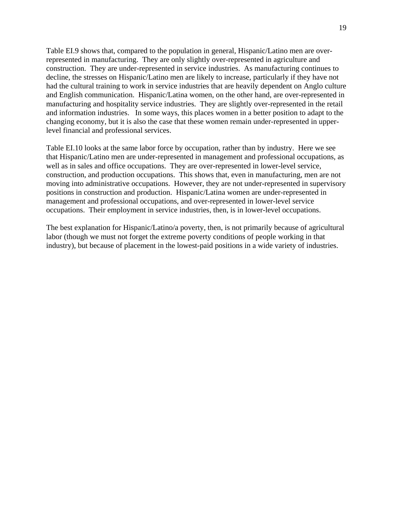Table EI.9 shows that, compared to the population in general, Hispanic/Latino men are overrepresented in manufacturing. They are only slightly over-represented in agriculture and construction. They are under-represented in service industries. As manufacturing continues to decline, the stresses on Hispanic/Latino men are likely to increase, particularly if they have not had the cultural training to work in service industries that are heavily dependent on Anglo culture and English communication. Hispanic/Latina women, on the other hand, are over-represented in manufacturing and hospitality service industries. They are slightly over-represented in the retail and information industries. In some ways, this places women in a better position to adapt to the changing economy, but it is also the case that these women remain under-represented in upperlevel financial and professional services.

Table EI.10 looks at the same labor force by occupation, rather than by industry. Here we see that Hispanic/Latino men are under-represented in management and professional occupations, as well as in sales and office occupations. They are over-represented in lower-level service, construction, and production occupations. This shows that, even in manufacturing, men are not moving into administrative occupations. However, they are not under-represented in supervisory positions in construction and production. Hispanic/Latina women are under-represented in management and professional occupations, and over-represented in lower-level service occupations. Their employment in service industries, then, is in lower-level occupations.

The best explanation for Hispanic/Latino/a poverty, then, is not primarily because of agricultural labor (though we must not forget the extreme poverty conditions of people working in that industry), but because of placement in the lowest-paid positions in a wide variety of industries.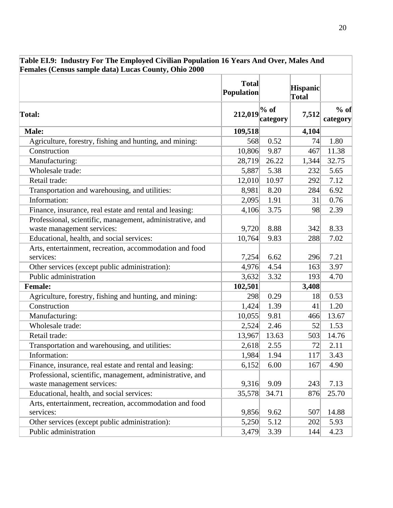| Females (Census sample data) Lucas County, Ohio 2000                 |                                   |          |                                 |                    |  |  |
|----------------------------------------------------------------------|-----------------------------------|----------|---------------------------------|--------------------|--|--|
|                                                                      | <b>Total</b><br><b>Population</b> |          | <b>Hispanic</b><br><b>Total</b> |                    |  |  |
| Total:                                                               | 212,019 % of                      | category | 7,512                           | $%$ of<br>category |  |  |
| <b>Male:</b>                                                         | 109,518                           |          | 4,104                           |                    |  |  |
| Agriculture, forestry, fishing and hunting, and mining:              | 568                               | 0.52     | 74                              | 1.80               |  |  |
| Construction                                                         | 10,806                            | 9.87     | 467                             | 11.38              |  |  |
| Manufacturing:                                                       | 28,719                            | 26.22    | 1,344                           | 32.75              |  |  |
| Wholesale trade:                                                     | 5,887                             | 5.38     | 232                             | 5.65               |  |  |
| Retail trade:                                                        | 12,010                            | 10.97    | 292                             | 7.12               |  |  |
| Transportation and warehousing, and utilities:                       | 8,981                             | 8.20     | 284                             | 6.92               |  |  |
| Information:                                                         | 2,095                             | 1.91     | 31                              | 0.76               |  |  |
| Finance, insurance, real estate and rental and leasing:              | 4,106                             | 3.75     | 98                              | 2.39               |  |  |
| Professional, scientific, management, administrative, and            |                                   | 8.88     |                                 | 8.33               |  |  |
| waste management services:                                           | 9,720                             |          | 342                             |                    |  |  |
| Educational, health, and social services:                            | 10,764                            | 9.83     | 288                             | 7.02               |  |  |
| Arts, entertainment, recreation, accommodation and food<br>services: | 7,254                             | 6.62     | 296                             | 7.21               |  |  |
| Other services (except public administration):                       | 4,976                             | 4.54     | 163                             | 3.97               |  |  |
| Public administration                                                | 3,632                             | 3.32     | 193                             | 4.70               |  |  |
| <b>Female:</b>                                                       | 102,501                           |          | 3,408                           |                    |  |  |
| Agriculture, forestry, fishing and hunting, and mining:              | 298                               | 0.29     | 18                              | 0.53               |  |  |
| Construction                                                         | 1,424                             | 1.39     | 41                              | 1.20               |  |  |
| Manufacturing:                                                       | 10,055                            | 9.81     | 466                             | 13.67              |  |  |
| Wholesale trade:                                                     | 2,524                             | 2.46     | 52                              | 1.53               |  |  |
| Retail trade:                                                        | 13,967                            | 13.63    | 503                             | 14.76              |  |  |
| Transportation and warehousing, and utilities:                       | 2,618                             | 2.55     | 72                              | 2.11               |  |  |
| Information:                                                         | 1,984                             | 1.94     | 117                             | 3.43               |  |  |
| Finance, insurance, real estate and rental and leasing:              | 6,152                             | 6.00     | 167                             | 4.90               |  |  |
| Professional, scientific, management, administrative, and            |                                   |          |                                 |                    |  |  |
| waste management services:                                           | 9,316                             | 9.09     | 243                             | 7.13               |  |  |
| Educational, health, and social services:                            | 35,578                            | 34.71    | 876                             | 25.70              |  |  |
| Arts, entertainment, recreation, accommodation and food              |                                   |          |                                 |                    |  |  |
| services:                                                            | 9,856                             | 9.62     | 507                             | 14.88              |  |  |
| Other services (except public administration):                       | 5,250                             | 5.12     | 202                             | 5.93               |  |  |
| Public administration                                                | 3,479                             | 3.39     | 144                             | 4.23               |  |  |

### **Table EI.9: Industry For The Employed Civilian Population 16 Years And Over, Males And Females (Census sample data) Lucas County, Ohio 2000**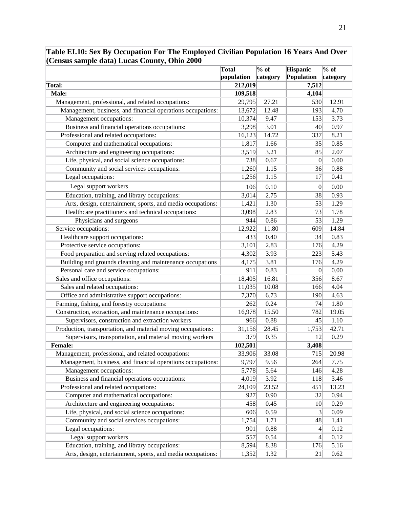|                                                              | <b>Total</b><br>population | $\overline{\%$ of<br>category | <b>Hispanic</b><br>Population | $\overline{\frac{9}{6}}$ of<br>category |
|--------------------------------------------------------------|----------------------------|-------------------------------|-------------------------------|-----------------------------------------|
| Total:                                                       | 212,019                    |                               | 7,512                         |                                         |
| Male:                                                        | 109,518                    |                               | 4,104                         |                                         |
| Management, professional, and related occupations:           | 29,795                     | 27.21                         | 530                           | 12.91                                   |
| Management, business, and financial operations occupations:  | 13,672                     | 12.48                         | 193                           | 4.70                                    |
| Management occupations:                                      | 10,374                     | 9.47                          | 153                           | 3.73                                    |
| Business and financial operations occupations:               | 3,298                      | 3.01                          | 40                            | 0.97                                    |
| Professional and related occupations:                        | 16,123                     | 14.72                         | 337                           | 8.21                                    |
| Computer and mathematical occupations:                       | 1,817                      | 1.66                          | 35                            | 0.85                                    |
| Architecture and engineering occupations:                    | 3,519                      | 3.21                          | 85                            | 2.07                                    |
| Life, physical, and social science occupations:              | 738                        | 0.67                          | $\mathbf{0}$                  | 0.00                                    |
| Community and social services occupations:                   | 1,260                      | 1.15                          | 36                            | 0.88                                    |
| Legal occupations:                                           | 1,256                      | 1.15                          | 17                            | 0.41                                    |
| Legal support workers                                        | 106                        | 0.10                          | $\mathbf{0}$                  | 0.00                                    |
| Education, training, and library occupations:                | 3,014                      | 2.75                          | 38                            | 0.93                                    |
| Arts, design, entertainment, sports, and media occupations:  | 1,421                      | 1.30                          | 53                            | 1.29                                    |
| Healthcare practitioners and technical occupations:          | 3,098                      | 2.83                          | 73                            | 1.78                                    |
| Physicians and surgeons                                      | 944                        | 0.86                          | 53                            | 1.29                                    |
| Service occupations:                                         | 12,922                     | 11.80                         | 609                           | 14.84                                   |
| Healthcare support occupations:                              | 433                        | 0.40                          | 34                            | 0.83                                    |
| Protective service occupations:                              | 3,101                      | 2.83                          | 176                           | 4.29                                    |
| Food preparation and serving related occupations:            | 4,302                      | 3.93                          | 223                           | 5.43                                    |
| Building and grounds cleaning and maintenance occupations    | 4,175                      | 3.81                          | 176                           | 4.29                                    |
| Personal care and service occupations:                       | 911                        | 0.83                          | 0                             | 0.00                                    |
| Sales and office occupations:                                | 18,405                     | 16.81                         | 356                           | 8.67                                    |
| Sales and related occupations:                               | 11,035                     | 10.08                         | 166                           | 4.04                                    |
| Office and administrative support occupations:               | 7,370                      | 6.73                          | 190                           | 4.63                                    |
| Farming, fishing, and forestry occupations:                  | 262                        | 0.24                          | 74                            | 1.80                                    |
| Construction, extraction, and maintenance occupations:       | 16,978                     | 15.50                         | 782                           | 19.05                                   |
| Supervisors, construction and extraction workers             | 966                        | 0.88                          | 45                            | 1.10                                    |
| Production, transportation, and material moving occupations: | 31,156                     | 28.45                         | 1,753                         | 42.71                                   |
| Supervisors, transportation, and material moving workers     | 379                        | 0.35                          | 12                            | 0.29                                    |
| <b>Female:</b>                                               | 102,501                    |                               | 3,408                         |                                         |
| Management, professional, and related occupations:           | 33,906                     | 33.08                         | 715                           | 20.98                                   |
| Management, business, and financial operations occupations:  | 9,797                      | 9.56                          | 264                           | 7.75                                    |
| Management occupations:                                      | 5,778                      | 5.64                          | 146                           | 4.28                                    |
| Business and financial operations occupations:               | 4,019                      | 3.92                          | 118                           | 3.46                                    |
| Professional and related occupations:                        | 24,109                     | 23.52                         | 451                           | 13.23                                   |
| Computer and mathematical occupations:                       | 927                        | 0.90                          | 32                            | 0.94                                    |
| Architecture and engineering occupations:                    | 458                        | 0.45                          | 10 <sup>1</sup>               | 0.29                                    |
| Life, physical, and social science occupations:              | 606                        | 0.59                          | 3                             | 0.09                                    |
| Community and social services occupations:                   | 1,754                      | 1.71                          | 48                            | 1.41                                    |
| Legal occupations:                                           | 901                        | 0.88                          | $\left 4\right $              | 0.12                                    |
| Legal support workers                                        | 557                        | 0.54                          | $\left 4\right $              | 0.12                                    |
| Education, training, and library occupations:                | 8,594                      | 8.38                          | 176                           | 5.16                                    |
| Arts, design, entertainment, sports, and media occupations:  | 1,352                      | 1.32                          | 21                            | 0.62                                    |

**Table EI.10: Sex By Occupation For The Employed Civilian Population 16 Years And Over (Census sample data) Lucas County, Ohio 2000**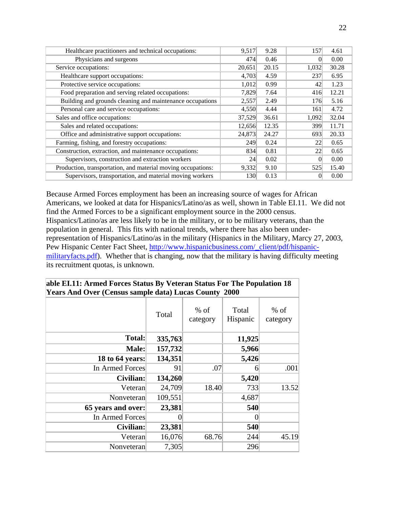| Healthcare practitioners and technical occupations:          | 9,517      | 9.28  | 157   | 4.61  |
|--------------------------------------------------------------|------------|-------|-------|-------|
| Physicians and surgeons                                      | 474        | 0.46  |       | 0.00  |
| Service occupations:                                         | 20,651     | 20.15 | 1,032 | 30.28 |
| Healthcare support occupations:                              | 4,703      | 4.59  | 237   | 6.95  |
| Protective service occupations:                              | 1,012      | 0.99  | 42    | 1.23  |
| Food preparation and serving related occupations:            | 7,829      | 7.64  | 416   | 12.21 |
| Building and grounds cleaning and maintenance occupations    | 2,557      | 2.49  | 176   | 5.16  |
| Personal care and service occupations:                       | 4,550      | 4.44  | 161   | 4.72  |
| Sales and office occupations:                                | 37,529     | 36.61 | 1,092 | 32.04 |
| Sales and related occupations:                               | 12,656     | 12.35 | 399   | 11.71 |
| Office and administrative support occupations:               | 24,873     | 24.27 | 693   | 20.33 |
| Farming, fishing, and forestry occupations:                  | 249        | 0.24  | 22    | 0.65  |
| Construction, extraction, and maintenance occupations:       | 834        | 0.81  | 22    | 0.65  |
| Supervisors, construction and extraction workers             | 24         | 0.02  |       | 0.00  |
| Production, transportation, and material moving occupations: | 9,332      | 9.10  | 525   | 15.40 |
| Supervisors, transportation, and material moving workers     | <b>130</b> | 0.13  |       | 0.00  |

Because Armed Forces employment has been an increasing source of wages for African Americans, we looked at data for Hispanics/Latino/as as well, shown in Table EI.11. We did not find the Armed Forces to be a significant employment source in the 2000 census. Hispanics/Latino/as are less likely to be in the military, or to be military veterans, than the population in general. This fits with national trends, where there has also been underrepresentation of Hispanics/Latino/as in the military (Hispanics in the Military, Marcy 27, 2003, Pew Hispanic Center Fact Sheet, http://www.hispanicbusiness.com/\_client/pdf/hispanicmilitaryfacts.pdf). Whether that is changing, now that the military is having difficulty meeting its recruitment quotas, is unknown.

| <b>Years And Over (Census sample data) Lucas County 2000</b> |         |                    |                   |                    |  |  |
|--------------------------------------------------------------|---------|--------------------|-------------------|--------------------|--|--|
|                                                              | Total   | $%$ of<br>category | Total<br>Hispanic | $%$ of<br>category |  |  |
| <b>Total:</b>                                                | 335,763 |                    | 11,925            |                    |  |  |
| Male:                                                        | 157,732 |                    | 5,966             |                    |  |  |
| 18 to 64 years:                                              | 134,351 |                    | 5,426             |                    |  |  |
| In Armed Forces                                              | 91      | .07                | ი                 | .001               |  |  |
| Civilian:                                                    | 134,260 |                    | 5,420             |                    |  |  |
| Veteran                                                      | 24,709  | 18.40              | 733               | 13.52              |  |  |
| Nonveteran                                                   | 109,551 |                    | 4,687             |                    |  |  |
| 65 years and over:                                           | 23,381  |                    | 540               |                    |  |  |
| In Armed Forces                                              |         |                    |                   |                    |  |  |
| Civilian:                                                    | 23,381  |                    | 540               |                    |  |  |
| Veteran                                                      | 16,076  | 68.76              | 244               | 45.19              |  |  |
| Nonveteran                                                   | 7,305   |                    | 296               |                    |  |  |

### **able EI.11: Armed Forces Status By Veteran Status For The Population 18 Years And Over (Census sample data) Lucas County 2000**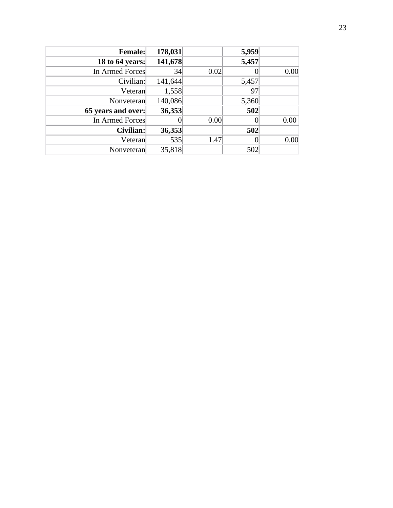| <b>Female:</b>     | 178,031 |      | 5,959 |      |
|--------------------|---------|------|-------|------|
| 18 to 64 years:    | 141,678 |      | 5,457 |      |
| In Armed Forces    | 34      | 0.02 |       | 0.00 |
| Civilian:          | 141,644 |      | 5,457 |      |
| Veteran            | 1,558   |      | 97    |      |
| Nonveteran         | 140,086 |      | 5,360 |      |
| 65 years and over: | 36,353  |      | 502   |      |
| In Armed Forces    |         | 0.00 |       | 0.00 |
| Civilian:          | 36,353  |      | 502   |      |
| Veteran            | 535     | 1.47 |       | 0.00 |
| Nonveteran         | 35,818  |      | 502   |      |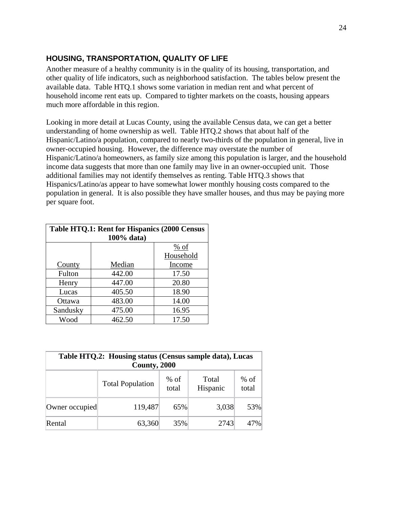### **HOUSING, TRANSPORTATION, QUALITY OF LIFE**

Another measure of a healthy community is in the quality of its housing, transportation, and other quality of life indicators, such as neighborhood satisfaction. The tables below present the available data. Table HTQ.1 shows some variation in median rent and what percent of household income rent eats up. Compared to tighter markets on the coasts, housing appears much more affordable in this region.

Looking in more detail at Lucas County, using the available Census data, we can get a better understanding of home ownership as well. Table HTQ.2 shows that about half of the Hispanic/Latino/a population, compared to nearly two-thirds of the population in general, live in owner-occupied housing. However, the difference may overstate the number of Hispanic/Latino/a homeowners, as family size among this population is larger, and the household income data suggests that more than one family may live in an owner-occupied unit. Those additional families may not identify themselves as renting. Table HTQ.3 shows that Hispanics/Latino/as appear to have somewhat lower monthly housing costs compared to the population in general. It is also possible they have smaller houses, and thus may be paying more per square foot.

| Table HTQ.1: Rent for Hispanics (2000 Census |            |           |  |
|----------------------------------------------|------------|-----------|--|
|                                              | 100% data) |           |  |
|                                              |            | $%$ of    |  |
|                                              |            | Household |  |
| County                                       | Median     | Income    |  |
| Fulton                                       | 442.00     | 17.50     |  |
| Henry                                        | 447.00     | 20.80     |  |
| Lucas                                        | 405.50     | 18.90     |  |
| Ottawa                                       | 483.00     | 14.00     |  |
| Sandusky                                     | 475.00     | 16.95     |  |
| Wood                                         | 462.50     | 17.50     |  |

| Table HTQ.2: Housing status (Census sample data), Lucas<br>County, 2000            |         |     |       |     |  |
|------------------------------------------------------------------------------------|---------|-----|-------|-----|--|
| $%$ of<br>$%$ of<br>Total<br><b>Total Population</b><br>Hispanic<br>total<br>total |         |     |       |     |  |
| Owner occupied                                                                     | 119,487 | 65% | 3,038 | 53% |  |
| Rental                                                                             | 63,360  | 35% | 2743  | 47% |  |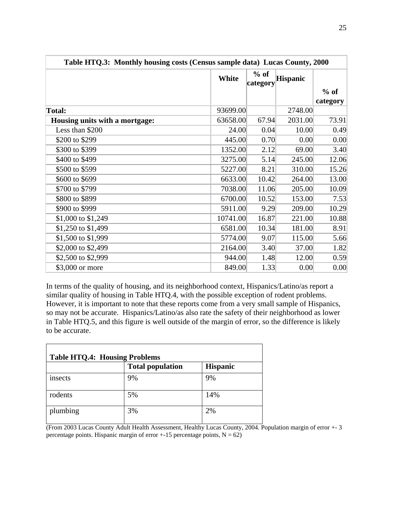| Table HTQ.3: Monthly housing costs (Census sample data) Lucas County, 2000 |          |                    |                 |                    |
|----------------------------------------------------------------------------|----------|--------------------|-----------------|--------------------|
|                                                                            | White    | $%$ of<br>category | <b>Hispanic</b> |                    |
|                                                                            |          |                    |                 | $%$ of<br>category |
| <b>Total:</b>                                                              | 93699.00 |                    | 2748.00         |                    |
| Housing units with a mortgage:                                             | 63658.00 | 67.94              | 2031.00         | 73.91              |
| Less than \$200                                                            | 24.00    | 0.04               | 10.00           | 0.49               |
| \$200 to \$299                                                             | 445.00   | 0.70               | 0.00            | 0.00               |
| \$300 to \$399                                                             | 1352.00  | 2.12               | 69.00           | 3.40               |
| \$400 to \$499                                                             | 3275.00  | 5.14               | 245.00          | 12.06              |
| \$500 to \$599                                                             | 5227.00  | 8.21               | 310.00          | 15.26              |
| \$600 to \$699                                                             | 6633.00  | 10.42              | 264.00          | 13.00              |
| \$700 to \$799                                                             | 7038.00  | 11.06              | 205.00          | 10.09              |
| \$800 to \$899                                                             | 6700.00  | 10.52              | 153.00          | 7.53               |
| \$900 to \$999                                                             | 5911.00  | 9.29               | 209.00          | 10.29              |
| \$1,000 to \$1,249                                                         | 10741.00 | 16.87              | 221.00          | 10.88              |
| \$1,250 to \$1,499                                                         | 6581.00  | 10.34              | 181.00          | 8.91               |
| \$1,500 to \$1,999                                                         | 5774.00  | 9.07               | 115.00          | 5.66               |
| \$2,000 to \$2,499                                                         | 2164.00  | 3.40               | 37.00           | 1.82               |
| \$2,500 to \$2,999                                                         | 944.00   | 1.48               | 12.00           | 0.59               |
| \$3,000 or more                                                            | 849.00   | 1.33               | 0.00            | 0.00               |

In terms of the quality of housing, and its neighborhood context, Hispanics/Latino/as report a similar quality of housing in Table HTQ.4, with the possible exception of rodent problems. However, it is important to note that these reports come from a very small sample of Hispanics, so may not be accurate. Hispanics/Latino/as also rate the safety of their neighborhood as lower in Table HTQ.5, and this figure is well outside of the margin of error, so the difference is likely to be accurate.

| <b>Table HTQ.4: Housing Problems</b> |                         |                 |  |
|--------------------------------------|-------------------------|-----------------|--|
|                                      | <b>Total population</b> | <b>Hispanic</b> |  |
| insects                              | 9%                      | 9%              |  |
| rodents                              | 5%                      | 14%             |  |
| plumbing                             | 3%                      | 2%              |  |

(From 2003 Lucas County Adult Health Assessment, Healthy Lucas County, 2004. Population margin of error +- 3 percentage points. Hispanic margin of error  $+15$  percentage points,  $N = 62$ )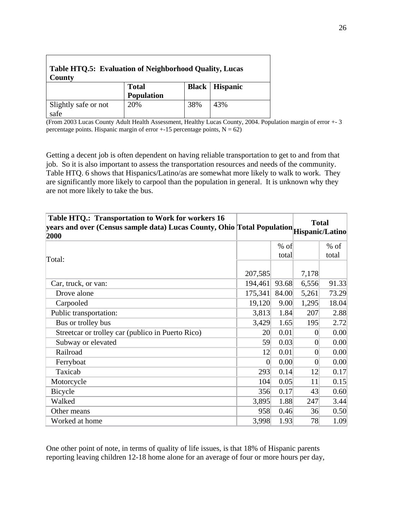| <b>Table HTQ.5: Evaluation of Neighborhood Quality, Lucas</b><br>County |                            |     |                         |  |
|-------------------------------------------------------------------------|----------------------------|-----|-------------------------|--|
|                                                                         | <b>Total</b><br>Population |     | <b>Black   Hispanic</b> |  |
| Slightly safe or not<br>safe                                            | 20%                        | 38% | 43%                     |  |

(From 2003 Lucas County Adult Health Assessment, Healthy Lucas County, 2004. Population margin of error +- 3 percentage points. Hispanic margin of error  $+15$  percentage points,  $N = 62$ )

Getting a decent job is often dependent on having reliable transportation to get to and from that job. So it is also important to assess the transportation resources and needs of the community. Table HTQ. 6 shows that Hispanics/Latino/as are somewhat more likely to walk to work. They are significantly more likely to carpool than the population in general. It is unknown why they are not more likely to take the bus.

| Table HTQ.: Transportation to Work for workers 16<br>years and over (Census sample data) Lucas County, Ohio Total Population Hispanic/Latino<br>2000 |                |       |                | <b>Total</b> |
|------------------------------------------------------------------------------------------------------------------------------------------------------|----------------|-------|----------------|--------------|
|                                                                                                                                                      |                | % of  |                | $%$ of       |
| Total:                                                                                                                                               |                | total |                | total        |
|                                                                                                                                                      | 207,585        |       | 7,178          |              |
| Car, truck, or van:                                                                                                                                  | 194,461        | 93.68 | 6,556          | 91.33        |
| Drove alone                                                                                                                                          | 175,341        | 84.00 | 5,261          | 73.29        |
| Carpooled                                                                                                                                            | 19,120         | 9.00  | 1,295          | 18.04        |
| Public transportation:                                                                                                                               | 3,813          | 1.84  | 207            | 2.88         |
| Bus or trolley bus                                                                                                                                   | 3,429          | 1.65  | 195            | 2.72         |
| Streetcar or trolley car (publico in Puerto Rico)                                                                                                    | 20             | 0.01  | 0              | 0.00         |
| Subway or elevated                                                                                                                                   | 59             | 0.03  | 0              | 0.00         |
| Railroad                                                                                                                                             | 12             | 0.01  | $\overline{0}$ | 0.00         |
| Ferryboat                                                                                                                                            | $\overline{0}$ | 0.00  | $\overline{0}$ | 0.00         |
| Taxicab                                                                                                                                              | 293            | 0.14  | 2              | 0.17         |
| Motorcycle                                                                                                                                           | 104            | 0.05  | 11             | 0.15         |
| <b>Bicycle</b>                                                                                                                                       | 356            | 0.17  | 43             | 0.60         |
| Walked                                                                                                                                               | 3,895          | 1.88  | 247            | 3.44         |
| Other means                                                                                                                                          | 958            | 0.46  | 36             | 0.50         |
| Worked at home                                                                                                                                       | 3,998          | 1.93  | 78             | 1.09         |

One other point of note, in terms of quality of life issues, is that 18% of Hispanic parents reporting leaving children 12-18 home alone for an average of four or more hours per day,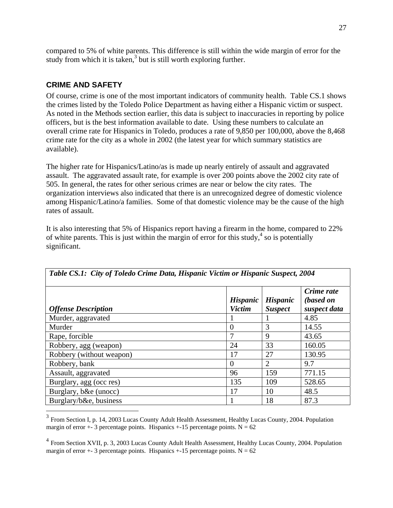compared to 5% of white parents. This difference is still within the wide margin of error for the study from which it is taken, $3$  but is still worth exploring further.

### **CRIME AND SAFETY**

Of course, crime is one of the most important indicators of community health. Table CS.1 shows the crimes listed by the Toledo Police Department as having either a Hispanic victim or suspect. As noted in the Methods section earlier, this data is subject to inaccuracies in reporting by police officers, but is the best information available to date. Using these numbers to calculate an overall crime rate for Hispanics in Toledo, produces a rate of 9,850 per 100,000, above the 8,468 crime rate for the city as a whole in 2002 (the latest year for which summary statistics are available).

The higher rate for Hispanics/Latino/as is made up nearly entirely of assault and aggravated assault. The aggravated assault rate, for example is over 200 points above the 2002 city rate of 505. In general, the rates for other serious crimes are near or below the city rates. The organization interviews also indicated that there is an unrecognized degree of domestic violence among Hispanic/Latino/a families. Some of that domestic violence may be the cause of the high rates of assault.

It is also interesting that 5% of Hispanics report having a firearm in the home, compared to 22% of white parents. This is just within the margin of error for this study, $4$  so is potentially significant.

| <b>Offense Description</b> | <b>Hispanic</b><br><b>Victim</b> | <b>Hispanic</b><br><b>Suspect</b> | Crime rate<br>(based on<br>suspect data |
|----------------------------|----------------------------------|-----------------------------------|-----------------------------------------|
| Murder, aggravated         |                                  |                                   | 4.85                                    |
| Murder                     | $\theta$                         | 3                                 | 14.55                                   |
| Rape, forcible             | 7                                | 9                                 | 43.65                                   |
| Robbery, agg (weapon)      | 24                               | 33                                | 160.05                                  |
| Robbery (without weapon)   | 17                               | 27                                | 130.95                                  |
| Robbery, bank              | $\theta$                         | $\overline{2}$                    | 9.7                                     |
| Assault, aggravated        | 96                               | 159                               | 771.15                                  |
| Burglary, agg (occ res)    | 135                              | 109                               | 528.65                                  |
| Burglary, b&e (unocc)      | 17                               | 10                                | 48.5                                    |
| Burglary/b&e, business     |                                  | 18                                | 87.3                                    |

 $3$  From Section I, p. 14, 2003 Lucas County Adult Health Assessment, Healthy Lucas County, 2004. Population margin of error  $+3$  percentage points. Hispanics  $+15$  percentage points. N = 62

<sup>4</sup> From Section XVII, p. 3, 2003 Lucas County Adult Health Assessment, Healthy Lucas County, 2004. Population margin of error  $+$ - 3 percentage points. Hispanics  $+$ -15 percentage points. N = 62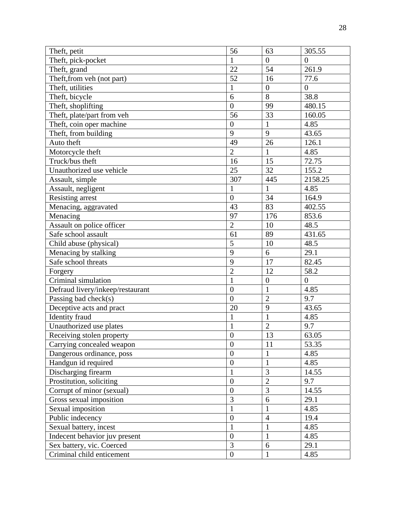| Theft, petit                     | 56               | 63               | 305.55         |
|----------------------------------|------------------|------------------|----------------|
| Theft, pick-pocket               | $\mathbf{1}$     | $\boldsymbol{0}$ | $\overline{0}$ |
| Theft, grand                     | 22               | 54               | 261.9          |
| Theft, from veh (not part)       | 52               | 16               | 77.6           |
| Theft, utilities                 | $\mathbf{1}$     | $\overline{0}$   | $\overline{0}$ |
| Theft, bicycle                   | 6                | 8                | 38.8           |
| Theft, shoplifting               | $\overline{0}$   | 99               | 480.15         |
| Theft, plate/part from veh       | 56               | 33               | 160.05         |
| Theft, coin oper machine         | $\overline{0}$   | $\mathbf{1}$     | 4.85           |
| Theft, from building             | 9                | 9                | 43.65          |
| Auto theft                       | 49               | 26               | 126.1          |
| Motorcycle theft                 | $\overline{2}$   | $\mathbf{1}$     | 4.85           |
| Truck/bus theft                  | 16               | 15               | 72.75          |
| Unauthorized use vehicle         | 25               | 32               | 155.2          |
| Assault, simple                  | 307              | 445              | 2158.25        |
| Assault, negligent               | $\mathbf{1}$     | $\mathbf{1}$     | 4.85           |
| <b>Resisting arrest</b>          | $\overline{0}$   | 34               | 164.9          |
| Menacing, aggravated             | 43               | 83               | 402.55         |
| Menacing                         | 97               | 176              | 853.6          |
| Assault on police officer        | $\overline{2}$   | 10               | 48.5           |
| Safe school assault              | 61               | 89               | 431.65         |
| Child abuse (physical)           | 5                | 10               | 48.5           |
| Menacing by stalking             | 9                | 6                | 29.1           |
| Safe school threats              | 9                | 17               | 82.45          |
| Forgery                          | $\overline{2}$   | 12               | 58.2           |
| Criminal simulation              | $\mathbf{1}$     | $\boldsymbol{0}$ | $\overline{0}$ |
| Defraud livery/inkeep/restaurant | $\boldsymbol{0}$ | $\mathbf{1}$     | 4.85           |
| Passing bad check(s)             | $\overline{0}$   | $\overline{2}$   | 9.7            |
| Deceptive acts and pract         | 20               | 9                | 43.65          |
| Identity fraud                   | $\mathbf{1}$     | $\mathbf{1}$     | 4.85           |
| Unauthorized use plates          | $\mathbf{1}$     | $\overline{2}$   | 9.7            |
| Receiving stolen property        | $\overline{0}$   | 13               | 63.05          |
| Carrying concealed weapon        | $\boldsymbol{0}$ | 11               | 53.35          |
| Dangerous ordinance, poss        | $\boldsymbol{0}$ | $\mathbf{1}$     | 4.85           |
| Handgun id required              | $\boldsymbol{0}$ | $\mathbf{1}$     | 4.85           |
| Discharging firearm              | 1                | 3                | 14.55          |
| Prostitution, soliciting         | $\boldsymbol{0}$ | $\overline{2}$   | 9.7            |
| Corrupt of minor (sexual)        | $\overline{0}$   | 3                | 14.55          |
| Gross sexual imposition          | 3                | 6                | 29.1           |
| Sexual imposition                |                  | $\mathbf{1}$     | 4.85           |
| Public indecency                 | $\overline{0}$   | $\overline{4}$   | 19.4           |
| Sexual battery, incest           |                  | $\mathbf{1}$     | 4.85           |
| Indecent behavior juv present    | $\overline{0}$   | $\mathbf{1}$     | 4.85           |
| Sex battery, vic. Coerced        | 3                | 6                | 29.1           |
| Criminal child enticement        | $\boldsymbol{0}$ | $\mathbf{1}$     | 4.85           |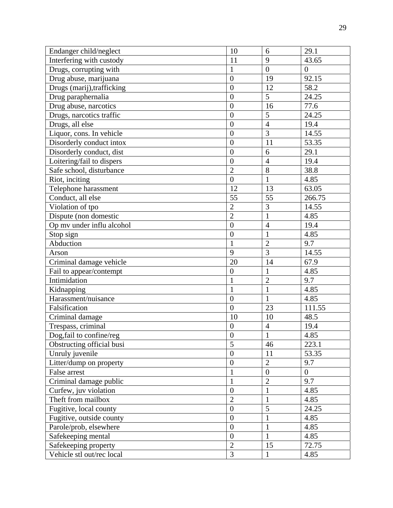| Endanger child/neglect     | 10               | 6              | 29.1           |
|----------------------------|------------------|----------------|----------------|
| Interfering with custody   | 11               | 9              | 43.65          |
| Drugs, corrupting with     | 1                | $\overline{0}$ | $\overline{0}$ |
| Drug abuse, marijuana      | $\overline{0}$   | 19             | 92.15          |
| Drugs (marij), trafficking | $\overline{0}$   | 12             | 58.2           |
| Drug paraphernalia         | $\theta$         | 5              | 24.25          |
| Drug abuse, narcotics      | $\overline{0}$   | 16             | 77.6           |
| Drugs, narcotics traffic   | $\overline{0}$   | $\overline{5}$ | 24.25          |
| Drugs, all else            | $\overline{0}$   | $\overline{4}$ | 19.4           |
| Liquor, cons. In vehicle   | $\overline{0}$   | 3              | 14.55          |
| Disorderly conduct intox   | $\overline{0}$   | 11             | 53.35          |
| Disorderly conduct, dist   | $\overline{0}$   | 6              | 29.1           |
| Loitering/fail to dispers  | $\boldsymbol{0}$ | $\overline{4}$ | 19.4           |
| Safe school, disturbance   | $\overline{2}$   | 8              | 38.8           |
| Riot, inciting             | $\overline{0}$   | $\mathbf{1}$   | 4.85           |
| Telephone harassment       | 12               | 13             | 63.05          |
| Conduct, all else          | 55               | 55             | 266.75         |
| Violation of tpo           | $\overline{c}$   | 3              | 14.55          |
| Dispute (non domestic      | $\overline{2}$   | $\mathbf{1}$   | 4.85           |
| Op mv under influ alcohol  | $\overline{0}$   | $\overline{4}$ | 19.4           |
| Stop sign                  | $\boldsymbol{0}$ | $\mathbf{1}$   | 4.85           |
| Abduction                  | $\mathbf{1}$     | $\overline{2}$ | 9.7            |
| Arson                      | 9                | 3              | 14.55          |
| Criminal damage vehicle    | 20               | 14             | 67.9           |
| Fail to appear/contempt    | $\boldsymbol{0}$ | $\mathbf{1}$   | 4.85           |
| Intimidation               | $\mathbf{1}$     | $\overline{c}$ | 9.7            |
| Kidnapping                 | $\mathbf{1}$     | $\mathbf{1}$   | 4.85           |
| Harassment/nuisance        | $\overline{0}$   | $\mathbf{1}$   | 4.85           |
| Falsification              | $\overline{0}$   | 23             | 111.55         |
| Criminal damage            | 10               | 10             | 48.5           |
| Trespass, criminal         | $\boldsymbol{0}$ | $\overline{4}$ | 19.4           |
| Dog, fail to confine/reg   | $\theta$         | 1              | 4.85           |
| Obstructing official busi  | 5                | 46             | 223.1          |
| Unruly juvenile            | $\boldsymbol{0}$ | 11             | 53.35          |
| Litter/dump on property    | $\overline{0}$   | $\overline{2}$ | 9.7            |
| False arrest               |                  | $\overline{0}$ | $\overline{0}$ |
| Criminal damage public     | 1                | $\overline{2}$ | 9.7            |
| Curfew, juv violation      | $\boldsymbol{0}$ | $\mathbf{1}$   | 4.85           |
| Theft from mailbox         | $\overline{2}$   | $\mathbf{1}$   | 4.85           |
| Fugitive, local county     | $\boldsymbol{0}$ | 5              | 24.25          |
| Fugitive, outside county   | $\boldsymbol{0}$ | $\mathbf{1}$   | 4.85           |
| Parole/prob, elsewhere     | $\overline{0}$   | $\mathbf{1}$   | 4.85           |
| Safekeeping mental         | $\boldsymbol{0}$ | $\mathbf{1}$   | 4.85           |
| Safekeeping property       | $\overline{2}$   | 15             | 72.75          |
| Vehicle stl out/rec local  | 3                | $\mathbf{1}$   | 4.85           |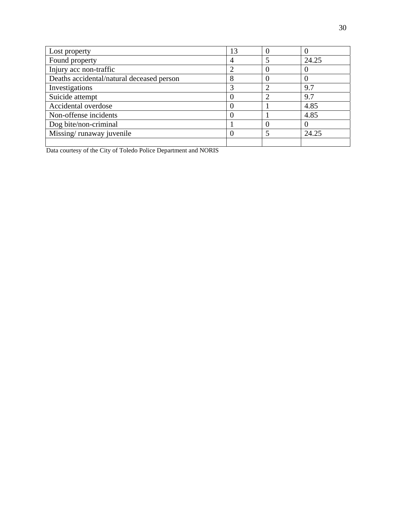| Lost property                             | 13 |   |       |
|-------------------------------------------|----|---|-------|
| Found property                            | 4  | 5 | 24.25 |
| Injury acc non-traffic                    |    |   |       |
| Deaths accidental/natural deceased person | 8  |   |       |
| Investigations                            | 3  | ി | 9.7   |
| Suicide attempt                           |    | റ | 9.7   |
| Accidental overdose                       |    |   | 4.85  |
| Non-offense incidents                     |    |   | 4.85  |
| Dog bite/non-criminal                     |    |   |       |
| Missing/runaway juvenile                  |    | 5 | 24.25 |
|                                           |    |   |       |

Data courtesy of the City of Toledo Police Department and NORIS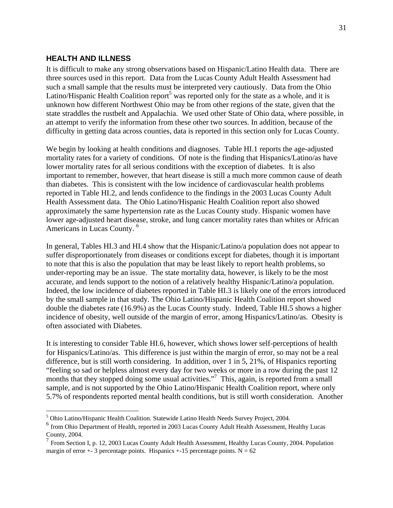#### **HEALTH AND ILLNESS**

It is difficult to make any strong observations based on Hispanic/Latino Health data. There are three sources used in this report. Data from the Lucas County Adult Health Assessment had such a small sample that the results must be interpreted very cautiously. Data from the Ohio Latino/Hispanic Health Coalition report<sup>5</sup> was reported only for the state as a whole, and it is unknown how different Northwest Ohio may be from other regions of the state, given that the state straddles the rustbelt and Appalachia. We used other State of Ohio data, where possible, in an attempt to verify the information from these other two sources. In addition, because of the difficulty in getting data across counties, data is reported in this section only for Lucas County.

We begin by looking at health conditions and diagnoses. Table HI.1 reports the age-adjusted mortality rates for a variety of conditions. Of note is the finding that Hispanics/Latino/as have lower mortality rates for all serious conditions with the exception of diabetes. It is also important to remember, however, that heart disease is still a much more common cause of death than diabetes. This is consistent with the low incidence of cardiovascular health problems reported in Table HI.2, and lends confidence to the findings in the 2003 Lucas County Adult Health Assessment data. The Ohio Latino/Hispanic Health Coalition report also showed approximately the same hypertension rate as the Lucas County study. Hispanic women have lower age-adjusted heart disease, stroke, and lung cancer mortality rates than whites or African Americans in Lucas County. 6

In general, Tables HI.3 and HI.4 show that the Hispanic/Latino/a population does not appear to suffer disproportionately from diseases or conditions except for diabetes, though it is important to note that this is also the population that may be least likely to report health problems, so under-reporting may be an issue. The state mortality data, however, is likely to be the most accurate, and lends support to the notion of a relatively healthy Hispanic/Latino/a population. Indeed, the low incidence of diabetes reported in Table HI.3 is likely one of the errors introduced by the small sample in that study. The Ohio Latino/Hispanic Health Coalition report showed double the diabetes rate (16.9%) as the Lucas County study. Indeed, Table HI.5 shows a higher incidence of obesity, well outside of the margin of error, among Hispanics/Latino/as. Obesity is often associated with Diabetes.

It is interesting to consider Table HI.6, however, which shows lower self-perceptions of health for Hispanics/Latino/as. This difference is just within the margin of error, so may not be a real difference, but is still worth considering. In addition, over 1 in 5, 21%, of Hispanics reporting "feeling so sad or helpless almost every day for two weeks or more in a row during the past 12 months that they stopped doing some usual activities."<sup>7</sup> This, again, is reported from a small sample, and is not supported by the Ohio Latino/Hispanic Health Coalition report, where only 5.7% of respondents reported mental health conditions, but is still worth consideration. Another

 5 Ohio Latino/Hispanic Health Coalition. Statewide Latino Health Needs Survey Project, 2004.

<sup>&</sup>lt;sup>6</sup> from Ohio Department of Health, reported in 2003 Lucas County Adult Health Assessment, Healthy Lucas County, 2004.

<sup>7</sup> From Section I, p. 12, 2003 Lucas County Adult Health Assessment, Healthy Lucas County, 2004. Population margin of error  $+$ - 3 percentage points. Hispanics  $+$ -15 percentage points. N = 62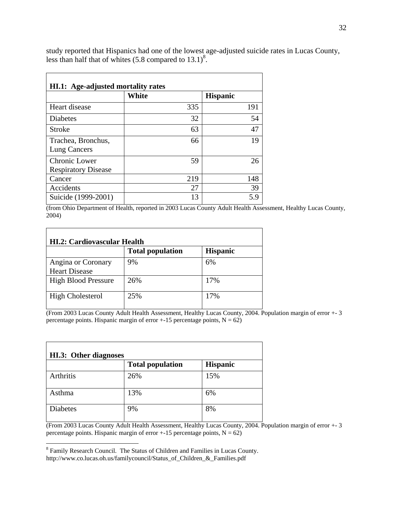study reported that Hispanics had one of the lowest age-adjusted suicide rates in Lucas County, less than half that of whites  $(5.8 \text{ compared to } 13.1)^8$ .

|                                             | <b>White</b> | <b>Hispanic</b> |
|---------------------------------------------|--------------|-----------------|
| Heart disease                               | 335          | 191             |
| Diabetes                                    | 32           | 54              |
| Stroke                                      | 63           | 47              |
| Trachea, Bronchus,<br>Lung Cancers          | 66           | 19              |
| Chronic Lower<br><b>Respiratory Disease</b> | 59           | 26              |
| Cancer                                      | 219          | 148             |
| Accidents                                   | 27           | 39              |
| Suicide (1999-2001)                         | 13           | 5.9             |

(from Ohio Department of Health, reported in 2003 Lucas County Adult Health Assessment, Healthy Lucas County, 2004)

|                                            | <b>HI.2: Cardiovascular Health</b><br><b>Total population</b> | <b>Hispanic</b> |
|--------------------------------------------|---------------------------------------------------------------|-----------------|
| Angina or Coronary<br><b>Heart Disease</b> | 9%                                                            | 6%              |
| <b>High Blood Pressure</b>                 | 26%                                                           | 17%             |
| <b>High Cholesterol</b>                    | 25%                                                           | 17%             |

(From 2003 Lucas County Adult Health Assessment, Healthy Lucas County, 2004. Population margin of error +- 3 percentage points. Hispanic margin of error  $+15$  percentage points,  $N = 62$ )

| HI.3: Other diagnoses |                         |                 |  |
|-----------------------|-------------------------|-----------------|--|
|                       | <b>Total population</b> | <b>Hispanic</b> |  |
| Arthritis             | 26%                     | 15%             |  |
| Asthma                | 13%                     | 6%              |  |
| <b>Diabetes</b>       | 9%                      | 8%              |  |

(From 2003 Lucas County Adult Health Assessment, Healthy Lucas County, 2004. Population margin of error +- 3 percentage points. Hispanic margin of error  $+15$  percentage points,  $N = 62$ )

<sup>&</sup>lt;sup>8</sup> Family Research Council. The Status of Children and Families in Lucas County. http://www.co.lucas.oh.us/familycouncil/Status\_of\_Children\_&\_Families.pdf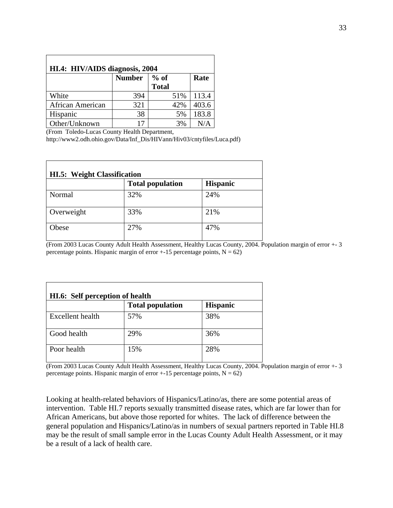| HI.4: HIV/AIDS diagnosis, 2004 |               |                        |       |  |  |
|--------------------------------|---------------|------------------------|-------|--|--|
|                                | <b>Number</b> | $%$ of<br><b>Total</b> | Rate  |  |  |
| White                          | 394           | 51%                    | 113.4 |  |  |
| African American               | 321           | 42%                    | 403.6 |  |  |
| Hispanic                       | 38            | 5%                     | 183.8 |  |  |
| Other/Unknown                  | 17            | 3%                     | N/A   |  |  |

(From Toledo-Lucas County Health Department,

http://www2.odh.ohio.gov/Data/Inf\_Dis/HIVann/Hiv03/cntyfiles/Luca.pdf)

| <b>HI.5: Weight Classification</b> |                         |                 |  |
|------------------------------------|-------------------------|-----------------|--|
|                                    | <b>Total population</b> | <b>Hispanic</b> |  |
| Normal                             | 32%                     | 24%             |  |
| Overweight                         | 33%                     | 21%             |  |
| Obese                              | 27%                     | 47%             |  |

(From 2003 Lucas County Adult Health Assessment, Healthy Lucas County, 2004. Population margin of error +- 3 percentage points. Hispanic margin of error  $+15$  percentage points,  $N = 62$ )

| <b>HI.6:</b> Self perception of health |                         |                 |  |
|----------------------------------------|-------------------------|-----------------|--|
|                                        | <b>Total population</b> | <b>Hispanic</b> |  |
| Excellent health                       | 57%                     | 38%             |  |
| Good health                            | 29%                     | 36%             |  |
| Poor health                            | 15%                     | 28%             |  |

(From 2003 Lucas County Adult Health Assessment, Healthy Lucas County, 2004. Population margin of error +- 3 percentage points. Hispanic margin of error  $+15$  percentage points,  $N = 62$ )

Looking at health-related behaviors of Hispanics/Latino/as, there are some potential areas of intervention. Table HI.7 reports sexually transmitted disease rates, which are far lower than for African Americans, but above those reported for whites. The lack of difference between the general population and Hispanics/Latino/as in numbers of sexual partners reported in Table HI.8 may be the result of small sample error in the Lucas County Adult Health Assessment, or it may be a result of a lack of health care.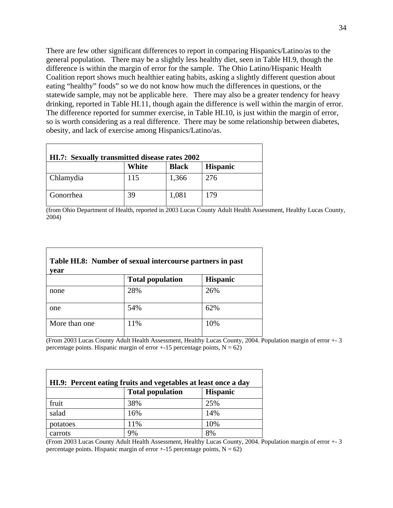There are few other significant differences to report in comparing Hispanics/Latino/as to the general population. There may be a slightly less healthy diet, seen in Table HI.9, though the difference is within the margin of error for the sample. The Ohio Latino/Hispanic Health Coalition report shows much healthier eating habits, asking a slightly different question about eating "healthy" foods" so we do not know how much the differences in questions, or the statewide sample, may not be applicable here. There may also be a greater tendency for heavy drinking, reported in Table HI.11, though again the difference is well within the margin of error. The difference reported for summer exercise, in Table HI.10, is just within the margin of error, so is worth considering as a real difference. There may be some relationship between diabetes, obesity, and lack of exercise among Hispanics/Latino/as.

| <b>HI.7:</b> Sexually transmitted disease rates 2002 |       |              |                 |
|------------------------------------------------------|-------|--------------|-----------------|
|                                                      | White | <b>Black</b> | <b>Hispanic</b> |
| Chlamydia                                            | 115   | 1,366        | 276             |
| Gonorrhea                                            | 39    | 1,081        | 179             |

(from Ohio Department of Health, reported in 2003 Lucas County Adult Health Assessment, Healthy Lucas County, 2004)

| Table HI.8: Number of sexual intercourse partners in past<br>vear |                         |                 |
|-------------------------------------------------------------------|-------------------------|-----------------|
|                                                                   | <b>Total population</b> | <b>Hispanic</b> |
| none                                                              | 28%                     | 26%             |
| one                                                               | 54%                     | 62%             |
| More than one                                                     | 11%                     | 10%             |

(From 2003 Lucas County Adult Health Assessment, Healthy Lucas County, 2004. Population margin of error +- 3 percentage points. Hispanic margin of error  $+15$  percentage points,  $N = 62$ )

|          |                         | HI.9: Percent eating fruits and vegetables at least once a day |  |
|----------|-------------------------|----------------------------------------------------------------|--|
|          | <b>Total population</b> | <b>Hispanic</b>                                                |  |
| fruit    | 38%                     | 25%                                                            |  |
| salad    | 16%                     | 14%                                                            |  |
| potatoes | 11%                     | 10%                                                            |  |
| carrots  | 9%                      | 8%                                                             |  |

(From 2003 Lucas County Adult Health Assessment, Healthy Lucas County, 2004. Population margin of error +- 3 percentage points. Hispanic margin of error  $+15$  percentage points,  $N = 62$ )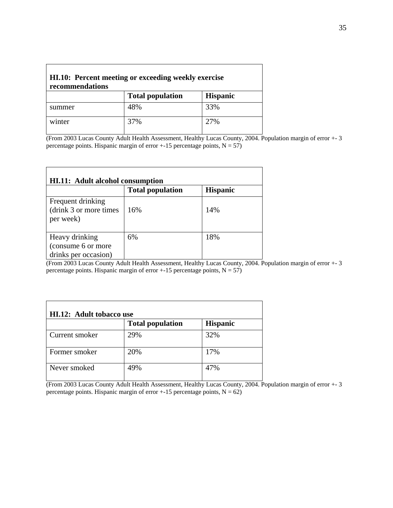| HI.10: Percent meeting or exceeding weekly exercise<br>recommendations |                         |                 |
|------------------------------------------------------------------------|-------------------------|-----------------|
|                                                                        | <b>Total population</b> | <b>Hispanic</b> |
| summer                                                                 | 48%                     | 33%             |
| winter                                                                 | 37%                     | 27%             |

(From 2003 Lucas County Adult Health Assessment, Healthy Lucas County, 2004. Population margin of error +- 3 percentage points. Hispanic margin of error +-15 percentage points,  $N = 57$ )

|                                                              | <b>Total population</b> | <b>Hispanic</b> |
|--------------------------------------------------------------|-------------------------|-----------------|
| Frequent drinking<br>(drink 3 or more times)<br>per week)    | 16%                     | 14%             |
| Heavy drinking<br>(consume 6 or more<br>drinks per occasion) | 6%                      | 18%             |

(From 2003 Lucas County Adult Health Assessment, Healthy Lucas County, 2004. Population margin of error +- 3 percentage points. Hispanic margin of error  $+15$  percentage points,  $N = 57$ )

| HI.12: Adult tobacco use |                         |                 |
|--------------------------|-------------------------|-----------------|
|                          | <b>Total population</b> | <b>Hispanic</b> |
| Current smoker           | 29%                     | 32%             |
| Former smoker            | 20%                     | 17%             |
| Never smoked             | 49%                     | 47%             |

(From 2003 Lucas County Adult Health Assessment, Healthy Lucas County, 2004. Population margin of error +- 3 percentage points. Hispanic margin of error  $+15$  percentage points,  $N = 62$ )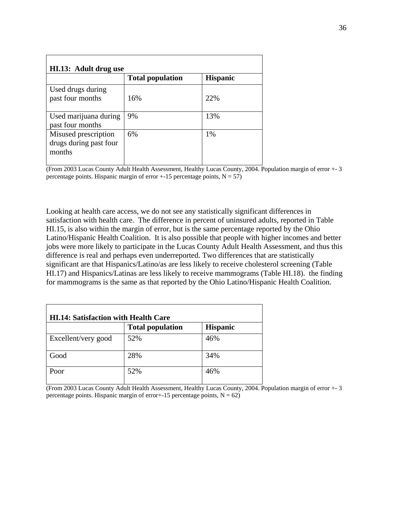| HI.13: Adult drug use                                    |                         |                 |
|----------------------------------------------------------|-------------------------|-----------------|
|                                                          | <b>Total population</b> | <b>Hispanic</b> |
| Used drugs during<br>past four months                    | 16%                     | 22%             |
| Used marijuana during<br>past four months                | 9%                      | 13%             |
| Misused prescription<br>drugs during past four<br>months | 6%                      | 1%              |

(From 2003 Lucas County Adult Health Assessment, Healthy Lucas County, 2004. Population margin of error +- 3 percentage points. Hispanic margin of error  $+15$  percentage points,  $N = 57$ )

Looking at health care access, we do not see any statistically significant differences in satisfaction with health care. The difference in percent of uninsured adults, reported in Table HI.15, is also within the margin of error, but is the same percentage reported by the Ohio Latino/Hispanic Health Coalition. It is also possible that people with higher incomes and better jobs were more likely to participate in the Lucas County Adult Health Assessment, and thus this difference is real and perhaps even underreported. Two differences that are statistically significant are that Hispanics/Latino/as are less likely to receive cholesterol screening (Table HI.17) and Hispanics/Latinas are less likely to receive mammograms (Table HI.18). the finding for mammograms is the same as that reported by the Ohio Latino/Hispanic Health Coalition.

| <b>HI.14: Satisfaction with Health Care</b> |                         |                 |
|---------------------------------------------|-------------------------|-----------------|
|                                             | <b>Total population</b> | <b>Hispanic</b> |
| Excellent/very good                         | 52%                     | 46%             |
| Good                                        | 28%                     | 34%             |
| Poor                                        | 52%                     | 46%             |

(From 2003 Lucas County Adult Health Assessment, Healthy Lucas County, 2004. Population margin of error +- 3 percentage points. Hispanic margin of error+-15 percentage points,  $N = 62$ )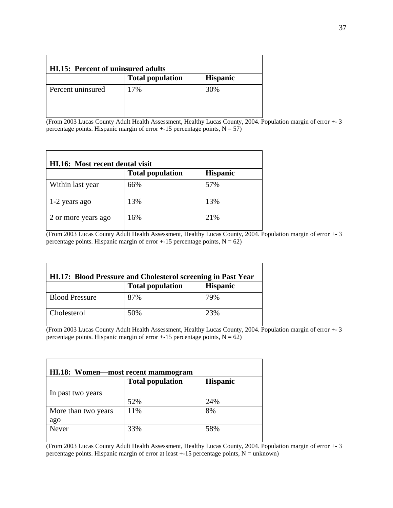|                   | <b>HI.15: Percent of uninsured adults</b> |                 |
|-------------------|-------------------------------------------|-----------------|
|                   | <b>Total population</b>                   | <b>Hispanic</b> |
| Percent uninsured | 17%                                       | 30%             |

(From 2003 Lucas County Adult Health Assessment, Healthy Lucas County, 2004. Population margin of error +- 3 percentage points. Hispanic margin of error  $+15$  percentage points,  $N = 57$ )

| HI.16: Most recent dental visit |                         |                 |
|---------------------------------|-------------------------|-----------------|
|                                 | <b>Total population</b> | <b>Hispanic</b> |
| Within last year                | 66%                     | 57%             |
| 1-2 years ago                   | 13%                     | 13%             |
| 2 or more years ago             | 16%                     | 21%             |

(From 2003 Lucas County Adult Health Assessment, Healthy Lucas County, 2004. Population margin of error +- 3 percentage points. Hispanic margin of error  $+15$  percentage points,  $N = 62$ )

|                       | HI.17: Blood Pressure and Cholesterol screening in Past Year |                 |
|-----------------------|--------------------------------------------------------------|-----------------|
|                       | <b>Total population</b>                                      | <b>Hispanic</b> |
| <b>Blood Pressure</b> | 87%                                                          | 79%             |
| Cholesterol           | 50%                                                          | 23%             |

(From 2003 Lucas County Adult Health Assessment, Healthy Lucas County, 2004. Population margin of error +- 3 percentage points. Hispanic margin of error  $+15$  percentage points,  $N = 62$ )

|                            | <b>Total population</b> | <b>Hispanic</b> |
|----------------------------|-------------------------|-----------------|
| In past two years          |                         |                 |
|                            | 52%                     | 24%             |
| More than two years<br>ago | 11%                     | 8%              |
| Never                      | 33%                     | 58%             |

(From 2003 Lucas County Adult Health Assessment, Healthy Lucas County, 2004. Population margin of error +- 3 percentage points. Hispanic margin of error at least  $+15$  percentage points, N = unknown)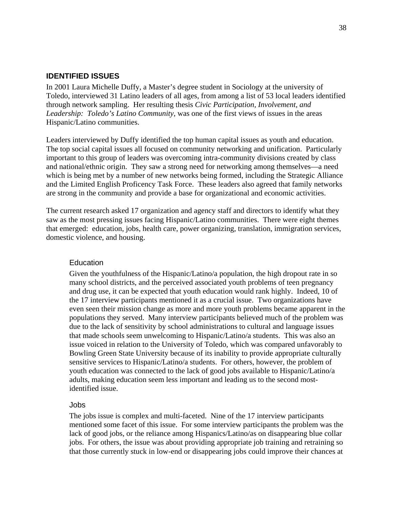#### **IDENTIFIED ISSUES**

In 2001 Laura Michelle Duffy, a Master's degree student in Sociology at the university of Toledo, interviewed 31 Latino leaders of all ages, from among a list of 53 local leaders identified through network sampling. Her resulting thesis *Civic Participation, Involvement, and Leadership: Toledo's Latino Community*, was one of the first views of issues in the areas Hispanic/Latino communities.

Leaders interviewed by Duffy identified the top human capital issues as youth and education. The top social capital issues all focused on community networking and unification. Particularly important to this group of leaders was overcoming intra-community divisions created by class and national/ethnic origin. They saw a strong need for networking among themselves—a need which is being met by a number of new networks being formed, including the Strategic Alliance and the Limited English Proficency Task Force. These leaders also agreed that family networks are strong in the community and provide a base for organizational and economic activities.

The current research asked 17 organization and agency staff and directors to identify what they saw as the most pressing issues facing Hispanic/Latino communities. There were eight themes that emerged: education, jobs, health care, power organizing, translation, immigration services, domestic violence, and housing.

#### **Education**

Given the youthfulness of the Hispanic/Latino/a population, the high dropout rate in so many school districts, and the perceived associated youth problems of teen pregnancy and drug use, it can be expected that youth education would rank highly. Indeed, 10 of the 17 interview participants mentioned it as a crucial issue. Two organizations have even seen their mission change as more and more youth problems became apparent in the populations they served. Many interview participants believed much of the problem was due to the lack of sensitivity by school administrations to cultural and language issues that made schools seem unwelcoming to Hispanic/Latino/a students. This was also an issue voiced in relation to the University of Toledo, which was compared unfavorably to Bowling Green State University because of its inability to provide appropriate culturally sensitive services to Hispanic/Latino/a students. For others, however, the problem of youth education was connected to the lack of good jobs available to Hispanic/Latino/a adults, making education seem less important and leading us to the second mostidentified issue.

#### Jobs

The jobs issue is complex and multi-faceted. Nine of the 17 interview participants mentioned some facet of this issue. For some interview participants the problem was the lack of good jobs, or the reliance among Hispanics/Latino/as on disappearing blue collar jobs. For others, the issue was about providing appropriate job training and retraining so that those currently stuck in low-end or disappearing jobs could improve their chances at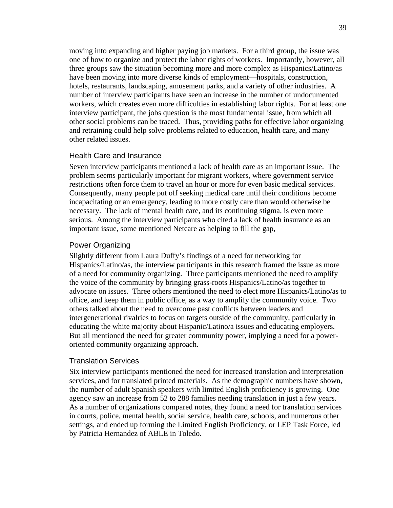moving into expanding and higher paying job markets. For a third group, the issue was one of how to organize and protect the labor rights of workers. Importantly, however, all three groups saw the situation becoming more and more complex as Hispanics/Latino/as have been moving into more diverse kinds of employment—hospitals, construction, hotels, restaurants, landscaping, amusement parks, and a variety of other industries. A number of interview participants have seen an increase in the number of undocumented workers, which creates even more difficulties in establishing labor rights. For at least one interview participant, the jobs question is the most fundamental issue, from which all other social problems can be traced. Thus, providing paths for effective labor organizing and retraining could help solve problems related to education, health care, and many other related issues.

#### Health Care and Insurance

Seven interview participants mentioned a lack of health care as an important issue. The problem seems particularly important for migrant workers, where government service restrictions often force them to travel an hour or more for even basic medical services. Consequently, many people put off seeking medical care until their conditions become incapacitating or an emergency, leading to more costly care than would otherwise be necessary. The lack of mental health care, and its continuing stigma, is even more serious. Among the interview participants who cited a lack of health insurance as an important issue, some mentioned Netcare as helping to fill the gap,

#### Power Organizing

Slightly different from Laura Duffy's findings of a need for networking for Hispanics/Latino/as, the interview participants in this research framed the issue as more of a need for community organizing. Three participants mentioned the need to amplify the voice of the community by bringing grass-roots Hispanics/Latino/as together to advocate on issues. Three others mentioned the need to elect more Hispanics/Latino/as to office, and keep them in public office, as a way to amplify the community voice. Two others talked about the need to overcome past conflicts between leaders and intergenerational rivalries to focus on targets outside of the community, particularly in educating the white majority about Hispanic/Latino/a issues and educating employers. But all mentioned the need for greater community power, implying a need for a poweroriented community organizing approach.

#### Translation Services

Six interview participants mentioned the need for increased translation and interpretation services, and for translated printed materials. As the demographic numbers have shown, the number of adult Spanish speakers with limited English proficiency is growing. One agency saw an increase from 52 to 288 families needing translation in just a few years. As a number of organizations compared notes, they found a need for translation services in courts, police, mental health, social service, health care, schools, and numerous other settings, and ended up forming the Limited English Proficiency, or LEP Task Force, led by Patricia Hernandez of ABLE in Toledo.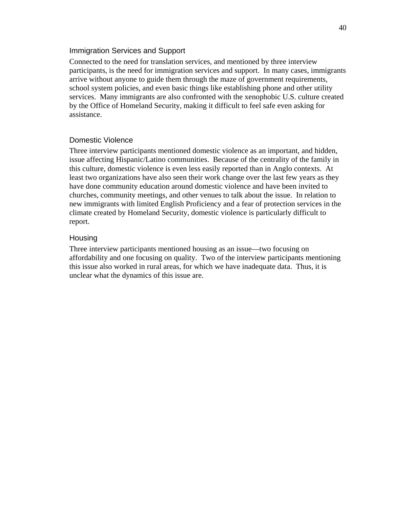#### Immigration Services and Support

Connected to the need for translation services, and mentioned by three interview participants, is the need for immigration services and support. In many cases, immigrants arrive without anyone to guide them through the maze of government requirements, school system policies, and even basic things like establishing phone and other utility services. Many immigrants are also confronted with the xenophobic U.S. culture created by the Office of Homeland Security, making it difficult to feel safe even asking for assistance.

#### Domestic Violence

Three interview participants mentioned domestic violence as an important, and hidden, issue affecting Hispanic/Latino communities. Because of the centrality of the family in this culture, domestic violence is even less easily reported than in Anglo contexts. At least two organizations have also seen their work change over the last few years as they have done community education around domestic violence and have been invited to churches, community meetings, and other venues to talk about the issue. In relation to new immigrants with limited English Proficiency and a fear of protection services in the climate created by Homeland Security, domestic violence is particularly difficult to report.

#### Housing

Three interview participants mentioned housing as an issue—two focusing on affordability and one focusing on quality. Two of the interview participants mentioning this issue also worked in rural areas, for which we have inadequate data. Thus, it is unclear what the dynamics of this issue are.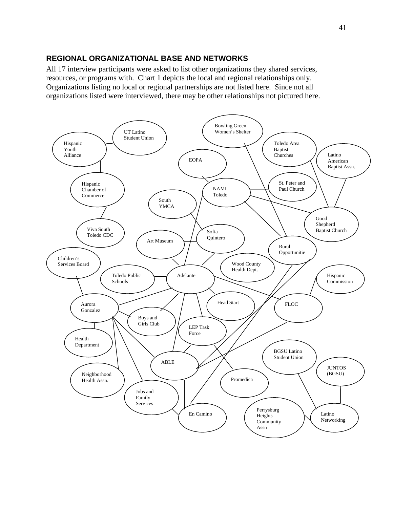#### **REGIONAL ORGANIZATIONAL BASE AND NETWORKS**

All 17 interview participants were asked to list other organizations they shared services, resources, or programs with. Chart 1 depicts the local and regional relationships only. Organizations listing no local or regional partnerships are not listed here. Since not all organizations listed were interviewed, there may be other relationships not pictured here.